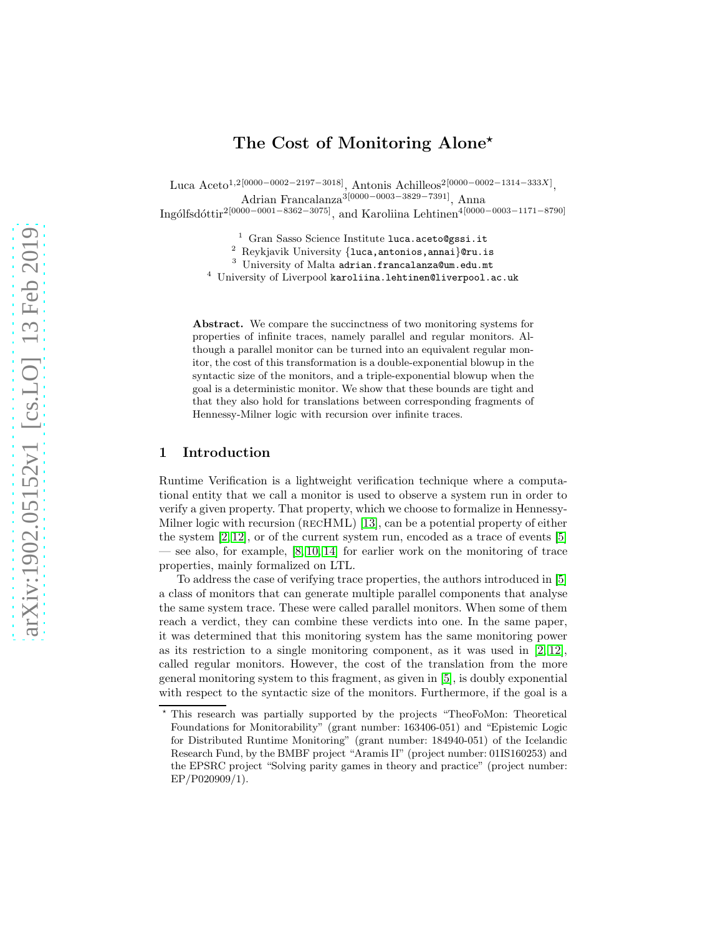# The Cost of Monitoring Alone<sup>\*</sup>

Luca Aceto<sup>1,2[0000–0002–2197–3018]</sup>, Antonis Achilleos<sup>2[0000–0002–1314–333X]</sup>, Adrian Francalanza3[0000−0003−3829−7391], Anna

Ingólfsdóttir<sup>2</sup>[0000−0001−8362−3075], and Karoliina Lehtinen<sup>4</sup>[0000−0003−1171−8790]

 $^{\rm 1}$  Gran Sasso Science Institute  ${\tt luca.aceto@gssi.it}$ 

<sup>2</sup> Reykjavik University {luca, antonios, annai}@ru.is

<sup>3</sup> University of Malta adrian.francalanza@um.edu.mt

<sup>4</sup> University of Liverpool karoliina.lehtinen@liverpool.ac.uk

Abstract. We compare the succinctness of two monitoring systems for properties of infinite traces, namely parallel and regular monitors. Although a parallel monitor can be turned into an equivalent regular monitor, the cost of this transformation is a double-exponential blowup in the syntactic size of the monitors, and a triple-exponential blowup when the goal is a deterministic monitor. We show that these bounds are tight and that they also hold for translations between corresponding fragments of Hennessy-Milner logic with recursion over infinite traces.

## 1 Introduction

Runtime Verification is a lightweight verification technique where a computational entity that we call a monitor is used to observe a system run in order to verify a given property. That property, which we choose to formalize in Hennessy-Milner logic with recursion (RECHML) [\[13\]](#page-15-0), can be a potential property of either the system  $[2, 12]$  $[2, 12]$ , or of the current system run, encoded as a trace of events  $[5]$ — see also, for example, [\[8,](#page-15-4) [10,](#page-15-5) [14\]](#page-15-6) for earlier work on the monitoring of trace properties, mainly formalized on LTL.

To address the case of verifying trace properties, the authors introduced in [\[5\]](#page-15-3) a class of monitors that can generate multiple parallel components that analyse the same system trace. These were called parallel monitors. When some of them reach a verdict, they can combine these verdicts into one. In the same paper, it was determined that this monitoring system has the same monitoring power as its restriction to a single monitoring component, as it was used in  $[2, 12]$  $[2, 12]$ , called regular monitors. However, the cost of the translation from the more general monitoring system to this fragment, as given in [\[5\]](#page-15-3), is doubly exponential with respect to the syntactic size of the monitors. Furthermore, if the goal is a

<sup>⋆</sup> This research was partially supported by the projects "TheoFoMon: Theoretical Foundations for Monitorability" (grant number: 163406-051) and "Epistemic Logic for Distributed Runtime Monitoring" (grant number: 184940-051) of the Icelandic Research Fund, by the BMBF project "Aramis II" (project number: 01IS160253) and the EPSRC project "Solving parity games in theory and practice" (project number: EP/P020909/1).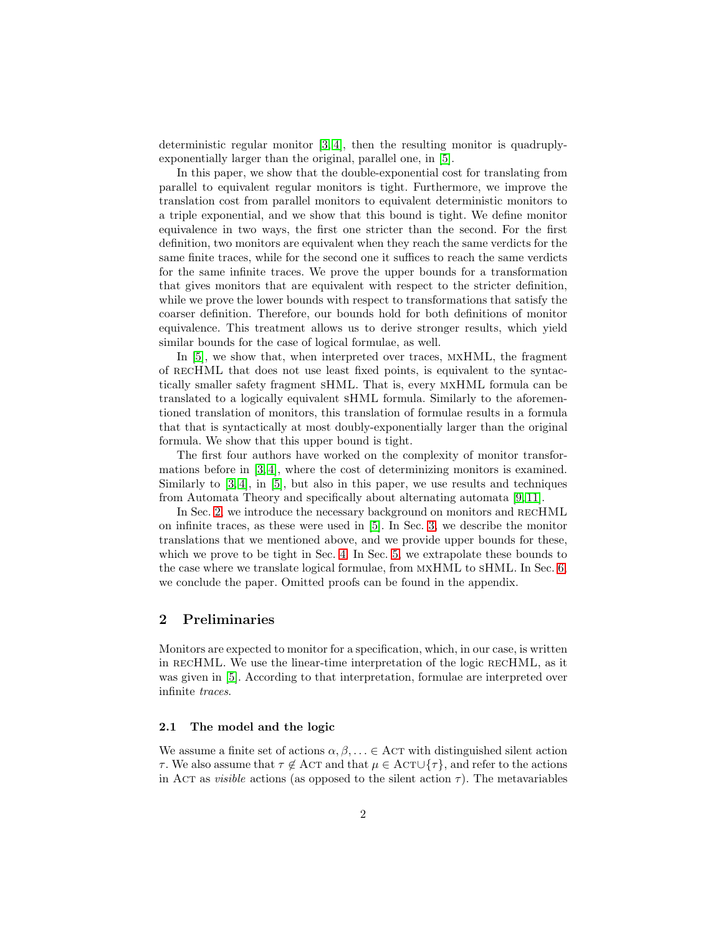deterministic regular monitor [\[3,](#page-15-7) [4\]](#page-15-8), then the resulting monitor is quadruplyexponentially larger than the original, parallel one, in [\[5\]](#page-15-3).

In this paper, we show that the double-exponential cost for translating from parallel to equivalent regular monitors is tight. Furthermore, we improve the translation cost from parallel monitors to equivalent deterministic monitors to a triple exponential, and we show that this bound is tight. We define monitor equivalence in two ways, the first one stricter than the second. For the first definition, two monitors are equivalent when they reach the same verdicts for the same finite traces, while for the second one it suffices to reach the same verdicts for the same infinite traces. We prove the upper bounds for a transformation that gives monitors that are equivalent with respect to the stricter definition, while we prove the lower bounds with respect to transformations that satisfy the coarser definition. Therefore, our bounds hold for both definitions of monitor equivalence. This treatment allows us to derive stronger results, which yield similar bounds for the case of logical formulae, as well.

In [\[5\]](#page-15-3), we show that, when interpreted over traces, mxHML, the fragment of recHML that does not use least fixed points, is equivalent to the syntactically smaller safety fragment sHML. That is, every mxHML formula can be translated to a logically equivalent sHML formula. Similarly to the aforementioned translation of monitors, this translation of formulae results in a formula that that is syntactically at most doubly-exponentially larger than the original formula. We show that this upper bound is tight.

The first four authors have worked on the complexity of monitor transformations before in [\[3,](#page-15-7) [4\]](#page-15-8), where the cost of determinizing monitors is examined. Similarly to  $[3, 4]$  $[3, 4]$ , in  $[5]$ , but also in this paper, we use results and techniques from Automata Theory and specifically about alternating automata [\[9,](#page-15-9) [11\]](#page-15-10).

In Sec. [2,](#page-1-0) we introduce the necessary background on monitors and recHML on infinite traces, as these were used in [\[5\]](#page-15-3). In Sec. [3,](#page-8-0) we describe the monitor translations that we mentioned above, and we provide upper bounds for these, which we prove to be tight in Sec. [4.](#page-9-0) In Sec. [5,](#page-13-0) we extrapolate these bounds to the case where we translate logical formulae, from mxHML to sHML. In Sec. [6,](#page-14-0) we conclude the paper. Omitted proofs can be found in the appendix.

## <span id="page-1-0"></span>2 Preliminaries

Monitors are expected to monitor for a specification, which, in our case, is written in RECHML. We use the linear-time interpretation of the logic RECHML, as it was given in [\[5\]](#page-15-3). According to that interpretation, formulae are interpreted over infinite traces.

## <span id="page-1-1"></span>2.1 The model and the logic

We assume a finite set of actions  $\alpha, \beta, \ldots \in \text{ACT with distinguished silent action}$ τ. We also assume that  $τ \notin$  AcT and that  $μ ∈$  AcT∪{ $τ$ }, and refer to the actions in Act as *visible* actions (as opposed to the silent action  $\tau$ ). The metavariables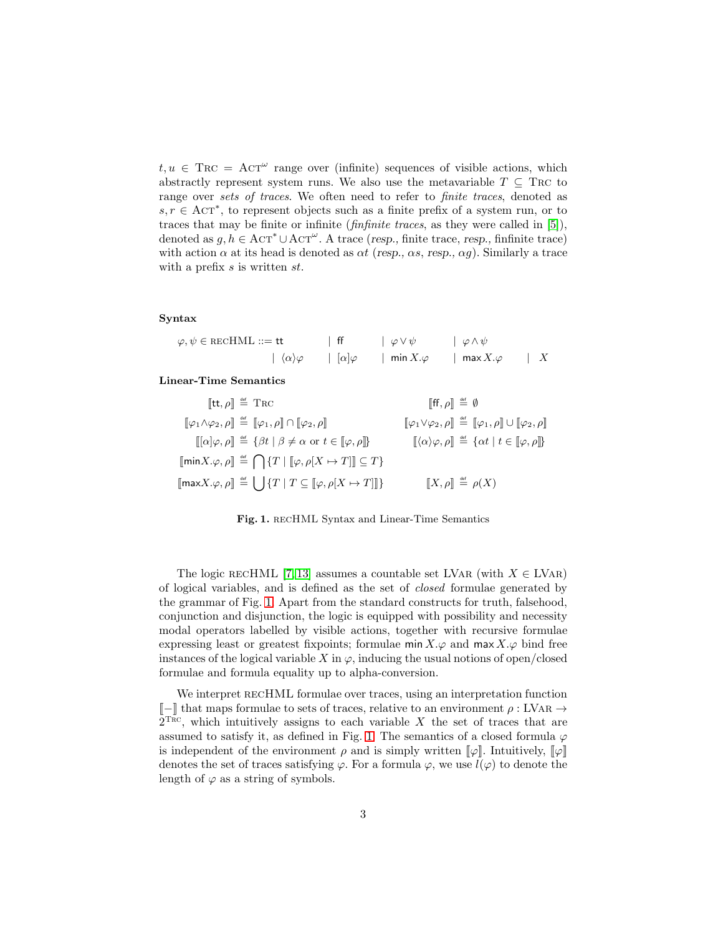$t, u \in \text{Trc} = \text{ACT}^{\omega}$  range over (infinite) sequences of visible actions, which abstractly represent system runs. We also use the metavariable  $T \subseteq \text{Trc}$  to range over sets of traces. We often need to refer to *finite traces*, denoted as  $s, r \in \text{ACT}^*$ , to represent objects such as a finite prefix of a system run, or to traces that may be finite or infinite (*finfinite traces*, as they were called in [\[5\]](#page-15-3)), denoted as  $g, h \in \text{ACT}^* \cup \text{ACT}^\omega$ . A trace (resp., finite trace, resp., finfinite trace) with action  $\alpha$  at its head is denoted as  $\alpha t$  (resp.,  $\alpha s$ , resp.,  $\alpha g$ ). Similarly a trace with a prefix s is written st.

#### Syntax

| $\varphi, \psi \in \text{RECHML} ::= \text{tt}$ | $ $ ff     | $\phi \vee \psi$ | $\phi \wedge \psi$       |  |
|-------------------------------------------------|------------|------------------|--------------------------|--|
| $ \langle \alpha \rangle \varphi $              | $ \alpha $ | min $X.\varphi$  | $\mathsf{max} X.\varphi$ |  |

Linear-Time Semantics

| $[\![{\sf tt},\rho]\!] \stackrel{\scriptscriptstyle{\mathsf{def}}}{=} {\sf T}{\sf R}{\sf C}$                                                   | $\llbracket \mathsf{ff}, \rho \rrbracket \stackrel{\scriptscriptstyle{\mathsf{def}}}{=} \emptyset$                           |
|------------------------------------------------------------------------------------------------------------------------------------------------|------------------------------------------------------------------------------------------------------------------------------|
| $[\![\varphi_1 \wedge \varphi_2, \rho]\!] \stackrel{\scriptscriptstyle{\mathsf{def}}}{=} [\![\varphi_1, \rho]\!] \cap [\![\varphi_2, \rho]\!]$ | $[\![\varphi_1 \vee \varphi_2, \rho]\!] \stackrel{\text{\tiny def}}{=} [\![\varphi_1, \rho]\!] \cup [\![\varphi_2, \rho]\!]$ |
| $[[\alpha]\varphi,\rho]] \stackrel{\text{\tiny def}}{=} {\{\beta t   \beta \neq \alpha \text{ or } t \in [\varphi,\rho]]\}}$                   | $[\![\langle \alpha \rangle \varphi, \rho]\!] \stackrel{\text{\tiny def}}{=} {\alpha t \mid t \in [\![ \varphi, \rho]\!]}.$  |
| $[\![min X.\varphi,\rho]\!] \stackrel{\text{\tiny def}}{=} \bigcap \{T \mid [\![\varphi,\rho[X \mapsto T]]\!] \subseteq T\}$                   |                                                                                                                              |
| $[\text{max}X.\varphi,\rho] \stackrel{\text{\tiny def}}{=} \bigcup \{T   T \subseteq [\varphi,\rho[X \mapsto T]]\}$                            | $\llbracket X, \rho \rrbracket \stackrel{\text{\tiny def}}{=} \rho(X)$                                                       |

<span id="page-2-0"></span>Fig. 1. recHML Syntax and Linear-Time Semantics

The logic RECHML [\[7,](#page-15-11) [13\]](#page-15-0) assumes a countable set LVAR (with  $X \in LVAR$ ) of logical variables, and is defined as the set of closed formulae generated by the grammar of Fig. [1.](#page-2-0) Apart from the standard constructs for truth, falsehood, conjunction and disjunction, the logic is equipped with possibility and necessity modal operators labelled by visible actions, together with recursive formulae expressing least or greatest fixpoints; formulae  $\min X.\varphi$  and  $\max X.\varphi$  bind free instances of the logical variable X in  $\varphi$ , inducing the usual notions of open/closed formulae and formula equality up to alpha-conversion.

We interpret RECHML formulae over traces, using an interpretation function  $\llbracket - \rrbracket$  that maps formulae to sets of traces, relative to an environment ρ : LVAR →  $2^{\text{Tric}}$ , which intuitively assigns to each variable X the set of traces that are assumed to satisfy it, as defined in Fig. [1.](#page-2-0) The semantics of a closed formula  $\varphi$ is independent of the environment  $\rho$  and is simply written  $\llbracket \varphi \rrbracket$ . Intuitively,  $\llbracket \varphi \rrbracket$ denotes the set of traces satisfying  $\varphi$ . For a formula  $\varphi$ , we use  $l(\varphi)$  to denote the length of  $\varphi$  as a string of symbols.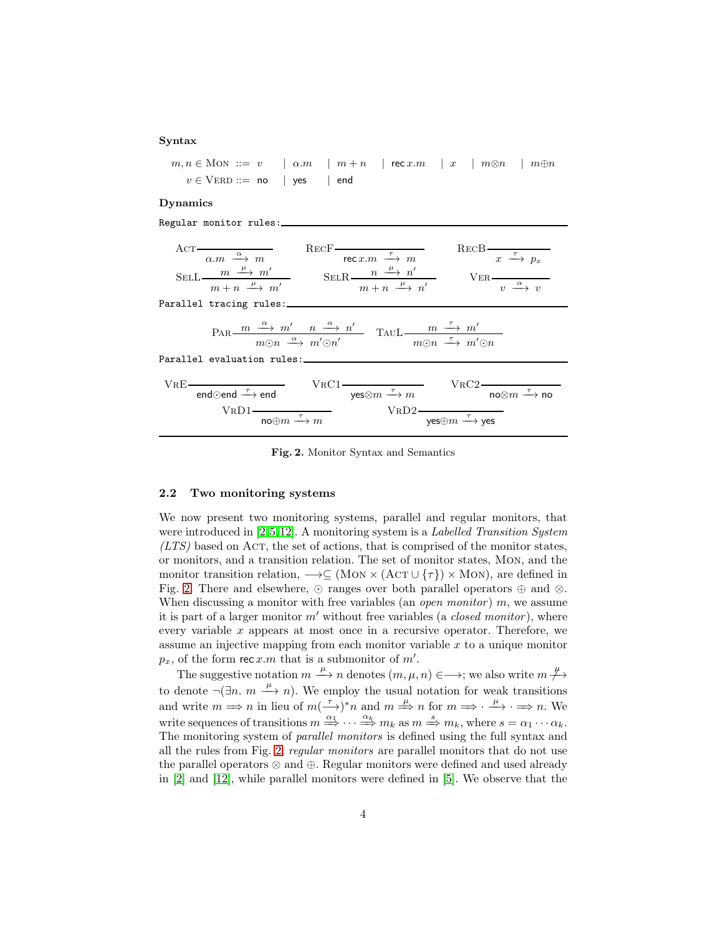#### Syntax

 $m, n \in \text{MON} :: = v \quad | \alpha.m \quad | m+n \quad | \text{ rec } x.m \quad | x \quad | m \otimes n \quad | m \oplus n$  $v \in \text{VERD} ::= \text{no} \quad | \text{ yes} \quad | \text{ end}$ 

### Dynamics

Regular monitor rules:

|                                                                                                                                                                             |                                                                                                                                                                                                                                    | ACT $\frac{\alpha}{\alpha.m \xrightarrow{\alpha} m}$ RECF $\frac{\text{RecF}}{\text{rec } x.m \xrightarrow{\tau} m}$ RECB $\frac{\pi}{x \xrightarrow{\tau} p_x}$<br>SELL $\frac{m \stackrel{\mu}{\longrightarrow} m'}{m+n \stackrel{\mu}{\longrightarrow} m'}$ SELR $\frac{n \stackrel{\mu}{\longrightarrow} n'}{m+n \stackrel{\mu}{\longrightarrow} n'}$ VER $\frac{n}{v \stackrel{\alpha}{\longrightarrow} v}$ |
|-----------------------------------------------------------------------------------------------------------------------------------------------------------------------------|------------------------------------------------------------------------------------------------------------------------------------------------------------------------------------------------------------------------------------|------------------------------------------------------------------------------------------------------------------------------------------------------------------------------------------------------------------------------------------------------------------------------------------------------------------------------------------------------------------------------------------------------------------|
|                                                                                                                                                                             |                                                                                                                                                                                                                                    |                                                                                                                                                                                                                                                                                                                                                                                                                  |
| Parallel evaluation rules:                                                                                                                                                  | $\text{PAR} \xrightarrow{m \xrightarrow{\alpha} m'} \xrightarrow{n' \xrightarrow{\alpha} n'} \xrightarrow{n \xrightarrow{\alpha} n'} \text{TAUL} \xrightarrow{m \xrightarrow{\tau} m'} \xrightarrow{m'} \xrightarrow{m \otimes n}$ |                                                                                                                                                                                                                                                                                                                                                                                                                  |
|                                                                                                                                                                             |                                                                                                                                                                                                                                    |                                                                                                                                                                                                                                                                                                                                                                                                                  |
| VRE $\frac{1}{\text{end}\odot \text{end}} \frac{\text{VRC1}}{\text{yes}\otimes m \xrightarrow{\tau} m} \frac{\text{VRC2}}{\text{no}\otimes m \xrightarrow{\tau} \text{no}}$ |                                                                                                                                                                                                                                    |                                                                                                                                                                                                                                                                                                                                                                                                                  |
|                                                                                                                                                                             | $VRD1$ $\frac{1}{\text{no}\oplus m \stackrel{\tau}{\longrightarrow} m}$ $VRD2$ $\frac{1}{\text{yes}\oplus m \stackrel{\tau}{\longrightarrow} \text{yes}}$                                                                          |                                                                                                                                                                                                                                                                                                                                                                                                                  |

<span id="page-3-0"></span>Fig. 2. Monitor Syntax and Semantics

## <span id="page-3-1"></span>2.2 Two monitoring systems

We now present two monitoring systems, parallel and regular monitors, that were introduced in [\[2,](#page-15-1)[5,](#page-15-3)[12\]](#page-15-2). A monitoring system is a Labelled Transition System  $(LTS)$  based on AcT, the set of actions, that is comprised of the monitor states, or monitors, and a transition relation. The set of monitor states, Mon, and the monitor transition relation,  $\longrightarrow \subseteq (MON \times (ACT \cup \{\tau\}) \times MON)$ , are defined in Fig. [2.](#page-3-0) There and elsewhere,  $\odot$  ranges over both parallel operators  $\oplus$  and  $\otimes$ . When discussing a monitor with free variables (an *open monitor*)  $m$ , we assume it is part of a larger monitor  $m'$  without free variables (a *closed monitor*), where every variable  $x$  appears at most once in a recursive operator. Therefore, we assume an injective mapping from each monitor variable x to a unique monitor  $p_x$ , of the form rec  $x.m$  that is a submonitor of  $m'$ .

The suggestive notation  $m \xrightarrow{\mu} n$  denotes  $(m, \mu, n) \in \longrightarrow$ ; we also write  $m \xrightarrow{\mu}$ to denote  $\neg(\exists n. m \xrightarrow{\mu} n)$ . We employ the usual notation for weak transitions and write  $m \Longrightarrow n$  in lieu of  $m \stackrel{\tau}{\longrightarrow} r$  and  $m \stackrel{\mu}{\Longrightarrow} n$  for  $m \Longrightarrow \stackrel{\mu}{\longrightarrow} \cdot \Longrightarrow n$ . We write sequences of transitions  $m \stackrel{\alpha_1}{\Rightarrow} \cdots \stackrel{\alpha_k}{\Rightarrow} m_k$  as  $m \stackrel{s}{\Rightarrow} m_k$ , where  $s = \alpha_1 \cdots \alpha_k$ . The monitoring system of parallel monitors is defined using the full syntax and all the rules from Fig. [2;](#page-3-0) regular monitors are parallel monitors that do not use the parallel operators ⊗ and ⊕. Regular monitors were defined and used already in [\[2\]](#page-15-1) and [\[12\]](#page-15-2), while parallel monitors were defined in [\[5\]](#page-15-3). We observe that the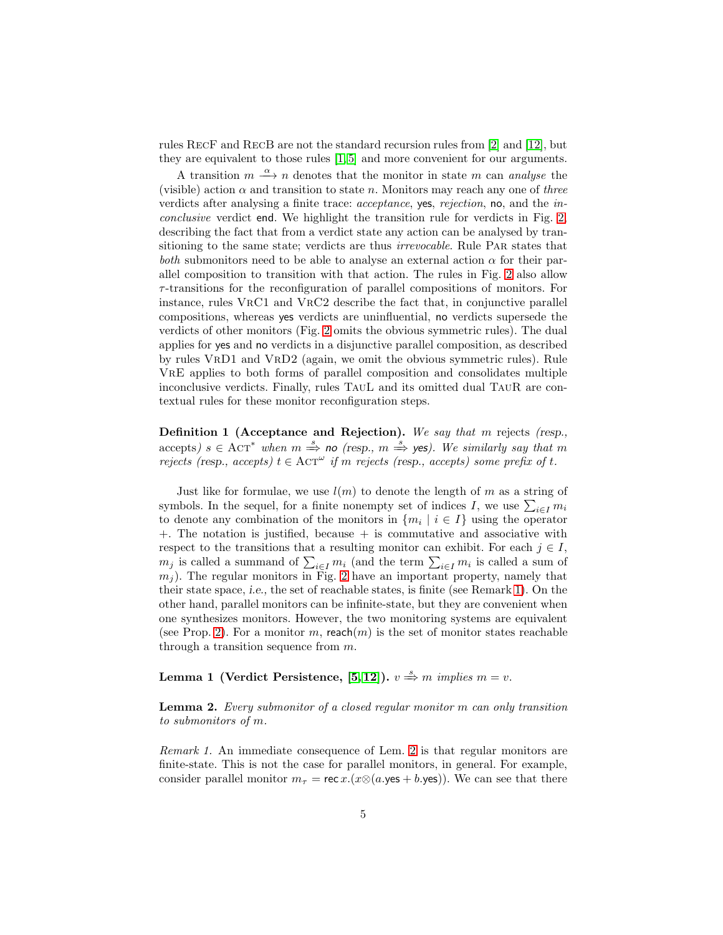rules RecF and RecB are not the standard recursion rules from [\[2\]](#page-15-1) and [\[12\]](#page-15-2), but they are equivalent to those rules [\[1,](#page-15-12) [5\]](#page-15-3) and more convenient for our arguments.

A transition  $m \stackrel{\alpha}{\longrightarrow} n$  denotes that the monitor in state m can analyse the (visible) action  $\alpha$  and transition to state n. Monitors may reach any one of three verdicts after analysing a finite trace: *acceptance*, yes, *rejection*, no, and the *in*conclusive verdict end. We highlight the transition rule for verdicts in Fig. [2,](#page-3-0) describing the fact that from a verdict state any action can be analysed by transitioning to the same state; verdicts are thus *irrevocable*. Rule PAR states that both submonitors need to be able to analyse an external action  $\alpha$  for their parallel composition to transition with that action. The rules in Fig. [2](#page-3-0) also allow  $\tau$ -transitions for the reconfiguration of parallel compositions of monitors. For instance, rules VRC1 and VRC2 describe the fact that, in conjunctive parallel compositions, whereas yes verdicts are uninfluential, no verdicts supersede the verdicts of other monitors (Fig. [2](#page-3-0) omits the obvious symmetric rules). The dual applies for yes and no verdicts in a disjunctive parallel composition, as described by rules VrD1 and VrD2 (again, we omit the obvious symmetric rules). Rule VrE applies to both forms of parallel composition and consolidates multiple inconclusive verdicts. Finally, rules TauL and its omitted dual TauR are contextual rules for these monitor reconfiguration steps.

Definition 1 (Acceptance and Rejection). We say that m rejects (resp., accepts)  $s \in \text{ACT}^*$  when  $m \stackrel{s}{\Rightarrow}$  no (resp.,  $m \stackrel{s}{\Rightarrow}$  yes). We similarly say that m rejects (resp., accepts)  $t \in \text{ACT}^{\omega}$  if m rejects (resp., accepts) some prefix of t.

Just like for formulae, we use  $l(m)$  to denote the length of m as a string of symbols. In the sequel, for a finite nonempty set of indices I, we use  $\sum_{i\in I} m_i$ to denote any combination of the monitors in  $\{m_i \mid i \in I\}$  using the operator +. The notation is justified, because + is commutative and associative with respect to the transitions that a resulting monitor can exhibit. For each  $j \in I$ ,  $m_j$  is called a summand of  $\sum_{i \in I} m_i$  (and the term  $\sum_{i \in I} m_i$  is called a sum of  $m<sub>j</sub>$ ). The regular monitors in Fig. [2](#page-3-0) have an important property, namely that their state space, i.e., the set of reachable states, is finite (see Remark [1\)](#page-4-0). On the other hand, parallel monitors can be infinite-state, but they are convenient when one synthesizes monitors. However, the two monitoring systems are equivalent (see Prop. [2\)](#page-8-1). For a monitor m, reach $(m)$  is the set of monitor states reachable through a transition sequence from  $m$ .

# <span id="page-4-2"></span>Lemma 1 (Verdict Persistence, [\[5,](#page-15-3) [12\]](#page-15-2)).  $v \stackrel{s}{\Rightarrow} m$  implies  $m = v$ .

<span id="page-4-1"></span>Lemma 2. Every submonitor of a closed regular monitor m can only transition to submonitors of m.

<span id="page-4-0"></span>Remark 1. An immediate consequence of Lem. [2](#page-4-1) is that regular monitors are finite-state. This is not the case for parallel monitors, in general. For example, consider parallel monitor  $m_{\tau} = \text{rec } x.(x \otimes (a \cdot \text{yes} + b \cdot \text{yes}))$ . We can see that there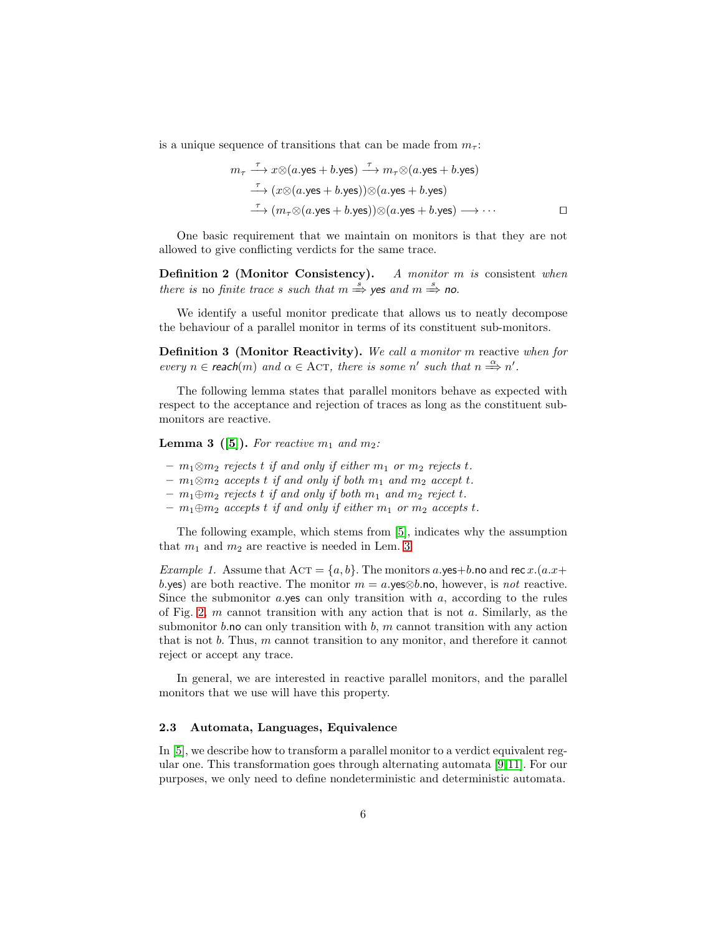is a unique sequence of transitions that can be made from  $m_\tau$ :

$$
m_{\tau} \xrightarrow{\tau} x \otimes (a.\text{yes} + b.\text{yes}) \xrightarrow{\tau} m_{\tau} \otimes (a.\text{yes} + b.\text{yes})
$$
  

$$
\xrightarrow{\tau} (x \otimes (a.\text{yes} + b.\text{yes})) \otimes (a.\text{yes} + b.\text{yes})
$$
  

$$
\xrightarrow{\tau} (m_{\tau} \otimes (a.\text{yes} + b.\text{yes})) \otimes (a.\text{yes} + b.\text{yes}) \longrightarrow \cdots
$$

One basic requirement that we maintain on monitors is that they are not allowed to give conflicting verdicts for the same trace.

Definition 2 (Monitor Consistency). A monitor m is consistent when there is no finite trace s such that  $m \stackrel{s}{\Rightarrow}$  yes and  $m \stackrel{s}{\Rightarrow}$  no.

We identify a useful monitor predicate that allows us to neatly decompose the behaviour of a parallel monitor in terms of its constituent sub-monitors.

Definition 3 (Monitor Reactivity). We call a monitor m reactive when for every  $n \in \text{reach}(m)$  and  $\alpha \in \text{ACT}$ , there is some n' such that  $n \stackrel{\alpha}{\Longrightarrow} n'$ .

<span id="page-5-0"></span>The following lemma states that parallel monitors behave as expected with respect to the acceptance and rejection of traces as long as the constituent submonitors are reactive.

**Lemma 3** ([\[5\]](#page-15-3)). For reactive  $m_1$  and  $m_2$ :

- $m_1 \otimes m_2$  rejects t if and only if either  $m_1$  or  $m_2$  rejects t.
- $m_1 \otimes m_2$  accepts t if and only if both  $m_1$  and  $m_2$  accept t.
- $m_1 \oplus m_2$  rejects t if and only if both  $m_1$  and  $m_2$  reject t.
- $m_1 \oplus m_2$  accepts t if and only if either  $m_1$  or  $m_2$  accepts t.

The following example, which stems from [\[5\]](#page-15-3), indicates why the assumption that  $m_1$  and  $m_2$  are reactive is needed in Lem. [3.](#page-5-0)

*Example 1.* Assume that  $ACT = \{a, b\}$ . The monitors a.yes+b.no and rec x.(a.x+ b.yes) are both reactive. The monitor  $m = a$ .yes⊗b.no, however, is not reactive. Since the submonitor a.yes can only transition with  $a$ , according to the rules of Fig. [2,](#page-3-0)  $m$  cannot transition with any action that is not  $a$ . Similarly, as the submonitor b.no can only transition with b, m cannot transition with any action that is not  $b$ . Thus,  $m$  cannot transition to any monitor, and therefore it cannot reject or accept any trace.

In general, we are interested in reactive parallel monitors, and the parallel monitors that we use will have this property.

## 2.3 Automata, Languages, Equivalence

In [\[5\]](#page-15-3), we describe how to transform a parallel monitor to a verdict equivalent regular one. This transformation goes through alternating automata [\[9,](#page-15-9)[11\]](#page-15-10). For our purposes, we only need to define nondeterministic and deterministic automata.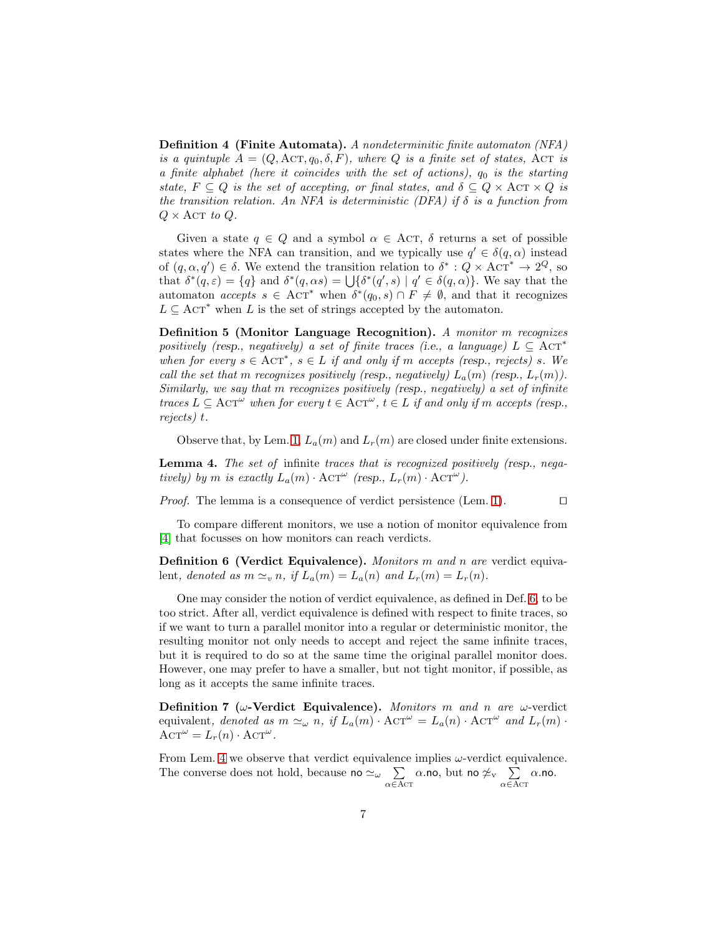Definition 4 (Finite Automata). A nondeterminitic finite automaton (NFA) is a quintuple  $A = (Q, \text{ACT}, q_0, \delta, F)$ , where Q is a finite set of states, ACT is a finite alphabet (here it coincides with the set of actions),  $q_0$  is the starting state,  $F \subseteq Q$  is the set of accepting, or final states, and  $\delta \subseteq Q \times \text{ACT} \times Q$  is the transition relation. An NFA is deterministic (DFA) if  $\delta$  is a function from  $Q \times \text{ACT } to Q$ .

Given a state  $q \in Q$  and a symbol  $\alpha \in \text{ACT}, \delta$  returns a set of possible states where the NFA can transition, and we typically use  $q' \in \delta(q, \alpha)$  instead of  $(q, \alpha, q') \in \delta$ . We extend the transition relation to  $\delta^* : Q \times \text{ACT}^* \to 2^Q$ , so that  $\delta^*(q,\varepsilon) = \{q\}$  and  $\delta^*(q,\alpha s) = \bigcup \{\delta^*(q',s) \mid q' \in \delta(q,\alpha)\}\.$  We say that the automaton *accepts*  $s \in \text{ACT}^*$  when  $\delta^*(q_0, s) \cap F \neq \emptyset$ , and that it recognizes  $L \subseteq \text{ACT}^*$  when L is the set of strings accepted by the automaton.

Definition 5 (Monitor Language Recognition). A monitor m recognizes positively (resp., negatively) a set of finite traces (i.e., a language)  $L \subseteq \text{ACT}^*$ when for every  $s \in \text{ACT}^*, s \in L$  if and only if m accepts (resp., rejects) s. We call the set that m recognizes positively (resp., negatively)  $L_a(m)$  (resp.,  $L_r(m)$ ). Similarly, we say that m recognizes positively (resp., negatively) a set of infinite traces  $L \subseteq \text{ACT}^{\omega}$  when for every  $t \in \text{ACT}^{\omega}$ ,  $t \in L$  if and only if m accepts (resp., rejects) t.

<span id="page-6-1"></span>Observe that, by Lem. [1,](#page-4-2)  $L_a(m)$  and  $L_r(m)$  are closed under finite extensions.

Lemma 4. The set of infinite traces that is recognized positively (resp., negatively) by m is exactly  $L_a(m) \cdot \text{ACT}^{\omega}$  (resp.,  $L_r(m) \cdot \text{ACT}^{\omega}$ ).

*Proof.* The lemma is a consequence of verdict persistence (Lem. [1\)](#page-4-2). □

<span id="page-6-0"></span>To compare different monitors, we use a notion of monitor equivalence from [\[4\]](#page-15-8) that focusses on how monitors can reach verdicts.

Definition 6 (Verdict Equivalence). Monitors m and n are verdict equivalent, denoted as  $m \simeq_v n$ , if  $L_a(m) = L_a(n)$  and  $L_r(m) = L_r(n)$ .

One may consider the notion of verdict equivalence, as defined in Def. [6,](#page-6-0) to be too strict. After all, verdict equivalence is defined with respect to finite traces, so if we want to turn a parallel monitor into a regular or deterministic monitor, the resulting monitor not only needs to accept and reject the same infinite traces, but it is required to do so at the same time the original parallel monitor does. However, one may prefer to have a smaller, but not tight monitor, if possible, as long as it accepts the same infinite traces.

Definition 7 ( $\omega$ -Verdict Equivalence). Monitors m and n are  $\omega$ -verdict equivalent, denoted as  $m \simeq_{\omega} n$ , if  $L_a(m) \cdot \text{ACT}^{\omega} = L_a(n) \cdot \text{ACT}^{\omega}$  and  $L_r(m) \cdot$  $\text{ACT}^{\omega} = L_r(n) \cdot \text{ACT}^{\omega}.$ 

From Lem. [4](#page-6-1) we observe that verdict equivalence implies  $\omega$ -verdict equivalence. The converse does not hold, because no  $\simeq_\omega \quad \sum$  $\alpha \bar{\in} A$ CT  $\alpha.$ no, but no  $\neq_{\operatorname{v}}$   $\quad \sum$  $\alpha \bar{\in} A$ CT  $\alpha$ .no.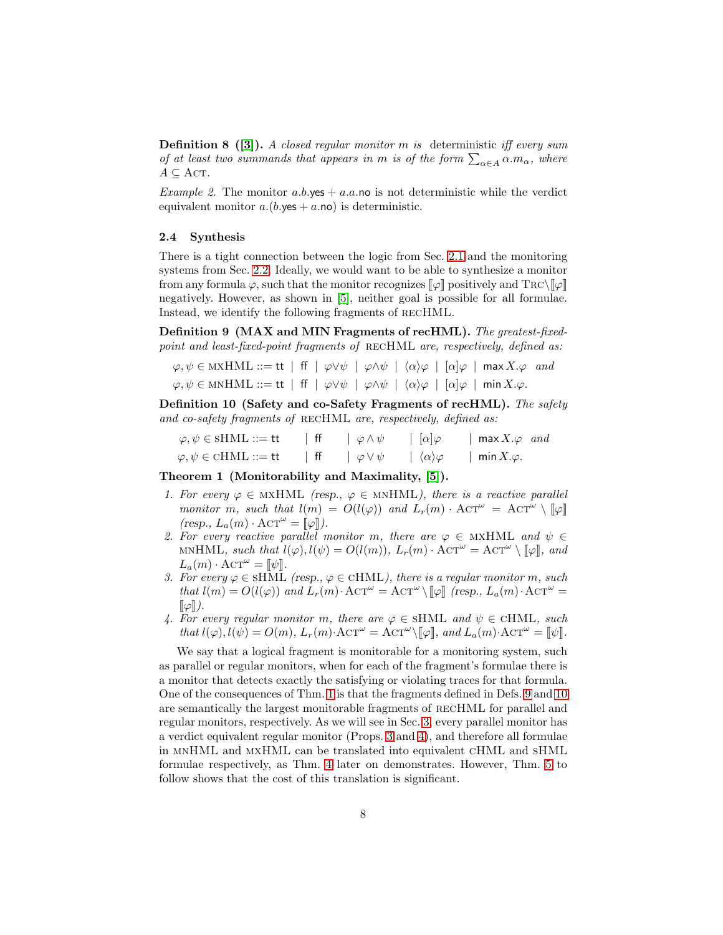**Definition 8** ([\[3\]](#page-15-7)). A closed regular monitor m is deterministic iff every sum of at least two summands that appears in m is of the form  $\sum_{\alpha \in A} \alpha.m_{\alpha}$ , where  $A \subseteq \text{ACT.}$ 

*Example 2.* The monitor  $a.b.\text{yes} + a.a.\text{no}$  is not deterministic while the verdict equivalent monitor  $a.(b.\text{yes} + a.\text{no})$  is deterministic.

### 2.4 Synthesis

There is a tight connection between the logic from Sec. [2.1](#page-1-1) and the monitoring systems from Sec. [2.2.](#page-3-1) Ideally, we would want to be able to synthesize a monitor from any formula  $\varphi$ , such that the monitor recognizes  $\llbracket \varphi \rrbracket$  positively and  $\text{Trc}\setminus\llbracket \varphi \rrbracket$ negatively. However, as shown in [\[5\]](#page-15-3), neither goal is possible for all formulae. Instead, we identify the following fragments of recHML.

<span id="page-7-1"></span>Definition 9 (MAX and MIN Fragments of recHML). The greatest-fixedpoint and least-fixed-point fragments of RECHML are, respectively, defined as:

$$
\varphi, \psi \in MXHML ::= \mathsf{tt} \mid \mathsf{ff} \mid \varphi \lor \psi \mid \varphi \land \psi \mid \langle \alpha \rangle \varphi \mid [\alpha] \varphi \mid \max X. \varphi \text{ and}
$$

$$
\varphi, \psi \in MXHML ::= \mathsf{tt} \mid \mathsf{ff} \mid \varphi \lor \psi \mid \varphi \land \psi \mid \langle \alpha \rangle \varphi \mid [\alpha] \varphi \mid \min X. \varphi.
$$

<span id="page-7-2"></span>Definition 10 (Safety and co-Safety Fragments of recHML). The safety and co-safety fragments of RECHML are, respectively, defined as:

| $\varphi, \psi \in \text{SHML} ::= \text{tt}$   | $\phi \wedge \psi$ | $\vert \alpha \vert \varphi$          | max $X.\varphi$ and |
|-------------------------------------------------|--------------------|---------------------------------------|---------------------|
| $\varphi, \psi \in \text{cHML} ::= \mathsf{tt}$ | $\phi \vee \psi$   | $\mid \langle \alpha \rangle \varphi$ | min $X.\varphi$ .   |

<span id="page-7-0"></span>Theorem 1 (Monitorability and Maximality, [\[5\]](#page-15-3)).

- 1. For every  $\varphi \in MXHML$  (resp.,  $\varphi \in MXHML$ ), there is a reactive parallel monitor m, such that  $l(m) = O(l(\varphi))$  and  $L_r(m) \cdot \text{ACT}^{\omega} = \text{ACT}^{\omega} \setminus [\varphi]$  $(resp., L_a(m) \cdot \text{ACT}^{\omega} = [\![\varphi]\!]).$
- 2. For every reactive parallel monitor m, there are  $\varphi \in MXHML$  and  $\psi \in$ MNHML, such that  $l(\varphi), l(\psi) = O(l(m)), L_r(m) \cdot \text{ACT}^{\omega} = \text{ACT}^{\omega} \setminus [\![\varphi]\!],$  and  $L_a(m) \cdot \text{ACT}^{\omega} = \llbracket \psi \rrbracket.$
- 3. For every  $\varphi \in \text{SHML}$  (resp.,  $\varphi \in \text{cHML}$ ), there is a regular monitor m, such that  $l(m) = O(l(\varphi))$  and  $L_r(m) \cdot \text{ACT}^{\omega} = \text{ACT}^{\omega} \setminus [\varphi]$  (resp.,  $L_a(m) \cdot \text{ACT}^{\omega} =$  $\llbracket \varphi \rrbracket$ ).
- 4. For every regular monitor m, there are  $\varphi \in \text{SHML}$  and  $\psi \in \text{cHML}$ , such that  $l(\varphi), l(\psi) = O(m), L_r(m) \cdot \text{ACT}^{\omega} = \text{ACT}^{\omega} \setminus [\![\varphi]\!],$  and  $L_a(m) \cdot \text{ACT}^{\omega} = [\![\psi]\!].$

We say that a logical fragment is monitorable for a monitoring system, such as parallel or regular monitors, when for each of the fragment's formulae there is a monitor that detects exactly the satisfying or violating traces for that formula. One of the consequences of Thm. [1](#page-7-0) is that the fragments defined in Defs. [9](#page-7-1) and [10](#page-7-2) are semantically the largest monitorable fragments of recHML for parallel and regular monitors, respectively. As we will see in Sec. [3,](#page-8-0) every parallel monitor has a verdict equivalent regular monitor (Props. [3](#page-9-1) and [4\)](#page-9-2), and therefore all formulae in mnHML and mxHML can be translated into equivalent cHML and sHML formulae respectively, as Thm. [4](#page-13-1) later on demonstrates. However, Thm. [5](#page-14-1) to follow shows that the cost of this translation is significant.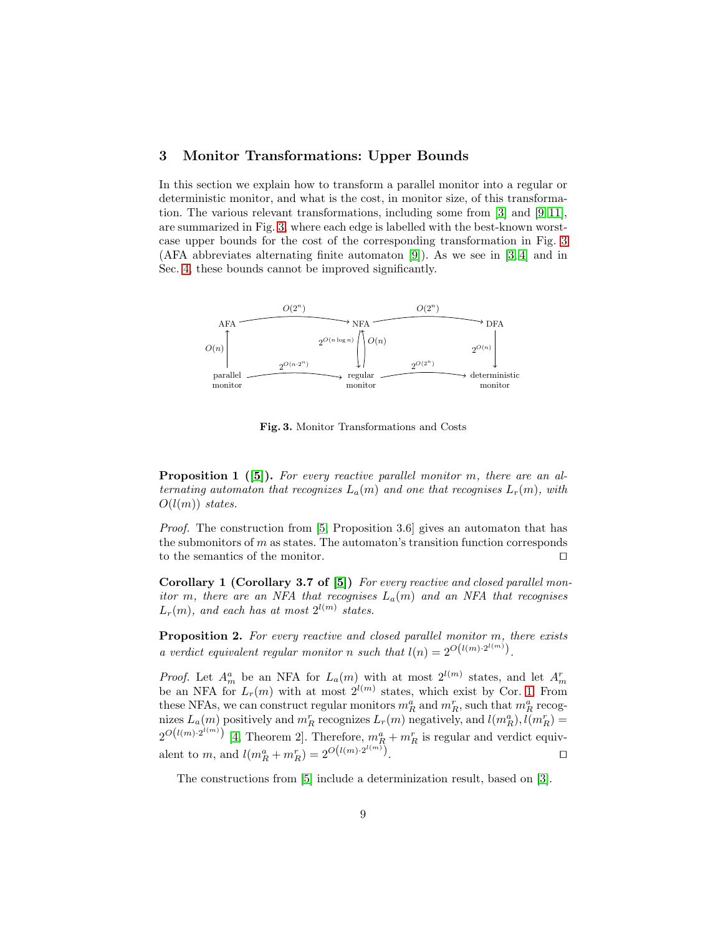## <span id="page-8-0"></span>3 Monitor Transformations: Upper Bounds

In this section we explain how to transform a parallel monitor into a regular or deterministic monitor, and what is the cost, in monitor size, of this transformation. The various relevant transformations, including some from [\[3\]](#page-15-7) and [\[9,](#page-15-9) [11\]](#page-15-10), are summarized in Fig. [3,](#page-8-2) where each edge is labelled with the best-known worstcase upper bounds for the cost of the corresponding transformation in Fig. [3](#page-8-2) (AFA abbreviates alternating finite automaton [\[9\]](#page-15-9)). As we see in [\[3,](#page-15-7) [4\]](#page-15-8) and in Sec. [4,](#page-9-0) these bounds cannot be improved significantly.



<span id="page-8-4"></span><span id="page-8-2"></span>Fig. 3. Monitor Transformations and Costs

**Proposition 1** ([\[5\]](#page-15-3)). For every reactive parallel monitor m, there are an alternating automaton that recognizes  $L_a(m)$  and one that recognises  $L_r(m)$ , with  $O(l(m))$  states.

Proof. The construction from [\[5,](#page-15-3) Proposition 3.6] gives an automaton that has the submonitors of  $m$  as states. The automaton's transition function corresponds to the semantics of the monitor. ⊓⊔

<span id="page-8-3"></span>Corollary 1 (Corollary 3.7 of [\[5\]](#page-15-3)) For every reactive and closed parallel monitor m, there are an NFA that recognises  $L_a(m)$  and an NFA that recognises  $L_r(m)$ , and each has at most  $2^{l(m)}$  states.

<span id="page-8-1"></span>Proposition 2. For every reactive and closed parallel monitor m, there exists a verdict equivalent regular monitor n such that  $l(n) = 2^{O(l(m) \cdot 2^{l(m)})}$ .

*Proof.* Let  $A_m^a$  be an NFA for  $L_a(m)$  with at most  $2^{l(m)}$  states, and let  $A_m^r$ be an NFA for  $L_r(m)$  with at most  $2^{l(m)}$  states, which exist by Cor. [1.](#page-8-3) From these NFAs, we can construct regular monitors  $m_R^a$  and  $m_R^r$ , such that  $m_R^a$  recognizes  $L_a(m)$  positively and  $m_R^r$  recognizes  $L_r(m)$  negatively, and  $l(m_R^a)$ ,  $l(m_R^r)$  =  $2^{O(l(m)\cdot 2^{l(m)})}$  [\[4,](#page-15-8) Theorem 2]. Therefore,  $m_R^a + m_R^r$  is regular and verdict equivalent to *m*, and  $l(m_R^a + m_R^r) = 2^{O(l(m) \cdot 2^{l(m)})}$ .

The constructions from [\[5\]](#page-15-3) include a determinization result, based on [\[3\]](#page-15-7).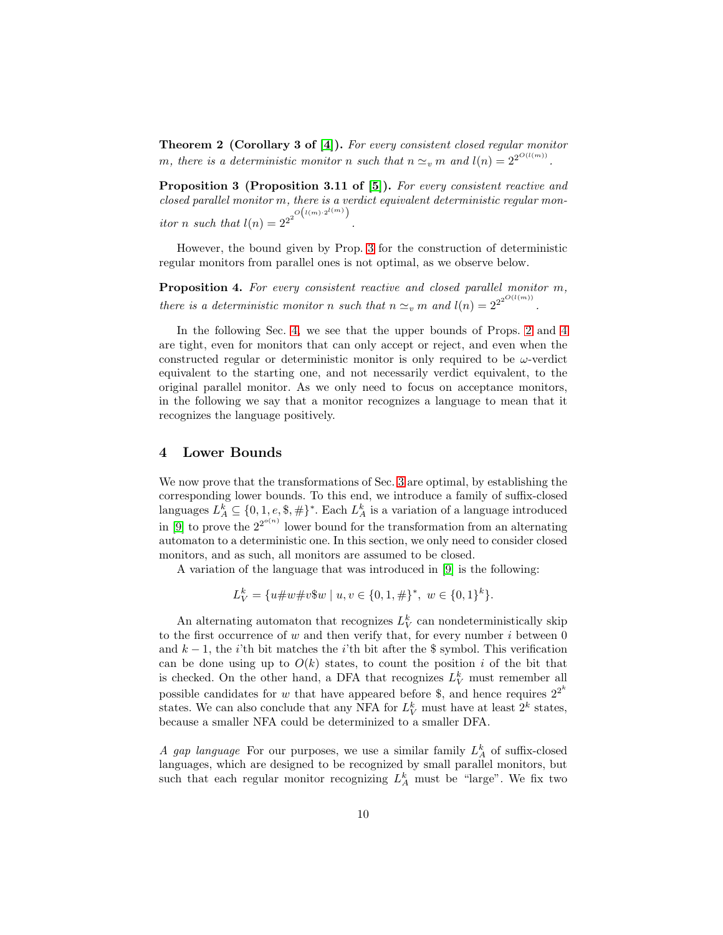Theorem 2 (Corollary 3 of [\[4\]](#page-15-8)). For every consistent closed regular monitor m, there is a deterministic monitor n such that  $n \simeq_v m$  and  $l(n) = 2^{2^{O(l(m))}}$ .

<span id="page-9-1"></span>Proposition 3 (Proposition 3.11 of [\[5\]](#page-15-3)). For every consistent reactive and closed parallel monitor m, there is a verdict equivalent deterministic regular monitor *n* such that  $l(n) = 2^{2^{2^{O(l(m)\cdot 2^{l(m)}})}}$ .

<span id="page-9-2"></span>However, the bound given by Prop. [3](#page-9-1) for the construction of deterministic regular monitors from parallel ones is not optimal, as we observe below.

Proposition 4. For every consistent reactive and closed parallel monitor m, there is a deterministic monitor n such that  $n \simeq_v m$  and  $l(n) = 2^{2^{2^{O(l(m))}}}$ .

In the following Sec. [4,](#page-9-0) we see that the upper bounds of Props. [2](#page-8-1) and [4](#page-9-2) are tight, even for monitors that can only accept or reject, and even when the constructed regular or deterministic monitor is only required to be  $\omega$ -verdict equivalent to the starting one, and not necessarily verdict equivalent, to the original parallel monitor. As we only need to focus on acceptance monitors, in the following we say that a monitor recognizes a language to mean that it recognizes the language positively.

## <span id="page-9-0"></span>4 Lower Bounds

We now prove that the transformations of Sec. [3](#page-8-0) are optimal, by establishing the corresponding lower bounds. To this end, we introduce a family of suffix-closed languages  $L_A^k \subseteq \{0, 1, e, \$\, \# \}^*$ . Each  $L_A^k$  is a variation of a language introduced in [\[9\]](#page-15-9) to prove the  $2^{2^{o(n)}}$  lower bound for the transformation from an alternating automaton to a deterministic one. In this section, we only need to consider closed monitors, and as such, all monitors are assumed to be closed.

A variation of the language that was introduced in [\[9\]](#page-15-9) is the following:

$$
L_V^k = \{u \# w \# v \$\text{w} \mid u, v \in \{0, 1, \#\}^*, \ w \in \{0, 1\}^k\}.
$$

An alternating automaton that recognizes  $L_V^k$  can nondeterministically skip to the first occurrence of  $w$  and then verify that, for every number  $i$  between  $0$ and  $k - 1$ , the *i*'th bit matches the *i*'th bit after the \$ symbol. This verification can be done using up to  $O(k)$  states, to count the position i of the bit that is checked. On the other hand, a DFA that recognizes  $L_V^k$  must remember all possible candidates for w that have appeared before \$, and hence requires  $2^{2^k}$ states. We can also conclude that any NFA for  $L_V^k$  must have at least  $2^k$  states, because a smaller NFA could be determinized to a smaller DFA.

A gap language For our purposes, we use a similar family  $L_A^k$  of suffix-closed languages, which are designed to be recognized by small parallel monitors, but such that each regular monitor recognizing  $L_A^k$  must be "large". We fix two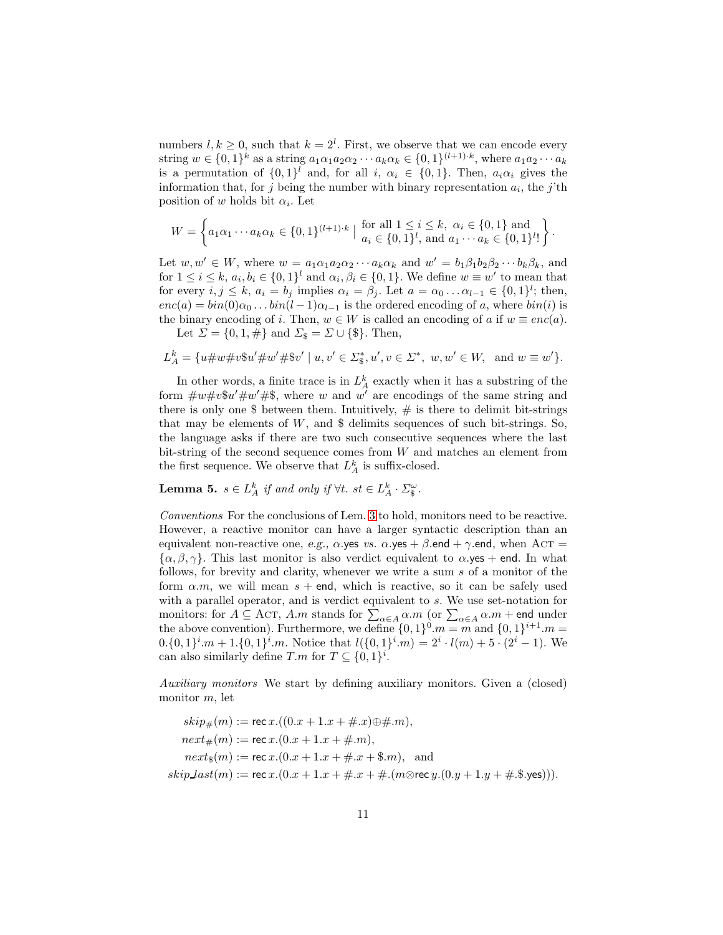numbers  $l, k \geq 0$ , such that  $k = 2^l$ . First, we observe that we can encode every string  $w \in \{0,1\}^k$  as a string  $a_1 \alpha_1 a_2 \alpha_2 \cdots a_k \alpha_k \in \{0,1\}^{(l+1)\cdot k}$ , where  $a_1 a_2 \cdots a_k$ is a permutation of  $\{0,1\}^l$  and, for all  $i, \alpha_i \in \{0,1\}$ . Then,  $a_i \alpha_i$  gives the information that, for j being the number with binary representation  $a_i$ , the j'th position of w holds bit  $\alpha_i$ . Let

$$
W = \left\{ a_1 \alpha_1 \cdots a_k \alpha_k \in \{0, 1\}^{(l+1) \cdot k} \mid \text{ for all } 1 \leq i \leq k, \ \alpha_i \in \{0, 1\} \text{ and } a_1 \cdots a_k \in \{0, 1\}^{l} \right\}.
$$

Let  $w, w' \in W$ , where  $w = a_1 \alpha_1 a_2 \alpha_2 \cdots a_k \alpha_k$  and  $w' = b_1 \beta_1 b_2 \beta_2 \cdots b_k \beta_k$ , and for  $1 \leq i \leq k$ ,  $a_i, b_i \in \{0,1\}^l$  and  $\alpha_i, \beta_i \in \{0,1\}$ . We define  $w \equiv w'$  to mean that for every  $i, j \leq k$ ,  $a_i = b_j$  implies  $\alpha_i = \beta_j$ . Let  $a = \alpha_0 \dots \alpha_{l-1} \in \{0, 1\}^l$ ; then,  $enc(a) = bin(0)\alpha_0 \dots bin(l-1)\alpha_{l-1}$  is the ordered encoding of a, where  $bin(i)$  is the binary encoding of i. Then,  $w \in W$  is called an encoding of a if  $w \equiv enc(a)$ .

Let  $\Sigma = \{0, 1, \#\}$  and  $\Sigma_{\$} = \Sigma \cup \{\$\}.$  Then,

$$
L_A^k = \{ u \# w \# v \ast u' \# w' \# \ast v' \mid u, v' \in \Sigma_{\mathbb{S}}^*, u', v \in \Sigma^*, w, w' \in W, \text{ and } w \equiv w' \}.
$$

In other words, a finite trace is in  $L_A^k$  exactly when it has a substring of the form  $\#w\#v\$ su' $\#w'\#$ \$, where w and w' are encodings of the same string and there is only one  $\frac{1}{2}$  between them. Intuitively,  $\#$  is there to delimit bit-strings that may be elements of  $W$ , and  $\$\$  delimits sequences of such bit-strings. So, the language asks if there are two such consecutive sequences where the last bit-string of the second sequence comes from W and matches an element from the first sequence. We observe that  $L_A^k$  is suffix-closed.

<span id="page-10-0"></span>**Lemma 5.**  $s \in L_A^k$  if and only if  $\forall t$ .  $st \in L_A^k \cdot \Sigma_s^{\omega}$ .

Conventions For the conclusions of Lem. [3](#page-5-0) to hold, monitors need to be reactive. However, a reactive monitor can have a larger syntactic description than an equivalent non-reactive one, e.g.,  $\alpha$  yes vs.  $\alpha$  yes +  $\beta$  end +  $\gamma$  end, when AcT =  $\{\alpha, \beta, \gamma\}$ . This last monitor is also verdict equivalent to  $\alpha$  yes + end. In what follows, for brevity and clarity, whenever we write a sum s of a monitor of the form  $\alpha$ .m, we will mean  $s + \text{end}$ , which is reactive, so it can be safely used with a parallel operator, and is verdict equivalent to s. We use set-notation for monitors: for  $A \subseteq \text{ACT}, A.m$  stands for  $\sum_{\alpha \in A} \alpha.m$  (or  $\sum_{\alpha \in A} \alpha.m$  + end under the above convention). Furthermore, we define  $\{0, 1\}^{0}.m = m$  and  $\{0, 1\}^{i+1}.m =$  $0.\{0,1\}^i.m+1.\{0,1\}^i.m.$  Notice that  $l(\{0,1\}^i.m)=2^i\cdot l(m)+5\cdot (2^i-1).$  We can also similarly define  $T.m$  for  $T \subseteq \{0,1\}^i$ .

Auxiliary monitors We start by defining auxiliary monitors. Given a (closed) monitor m, let

$$
skip_{\#}(m) := \text{rec } x.((0.x + 1.x + \# .x) \oplus \# .m),
$$
  
\n
$$
next_{\#}(m) := \text{rec } x.((0.x + 1.x + \# .m),
$$
  
\n
$$
next_{\$}(m) := \text{rec } x.((0.x + 1.x + \# .x + \$.m), \text{ and}
$$
  
\n
$$
skip last(m) := \text{rec } x.((0.x + 1.x + \# .x + \# .(m \otimes \text{rec } y.(0.y + 1.y + \# .\$.yes))).
$$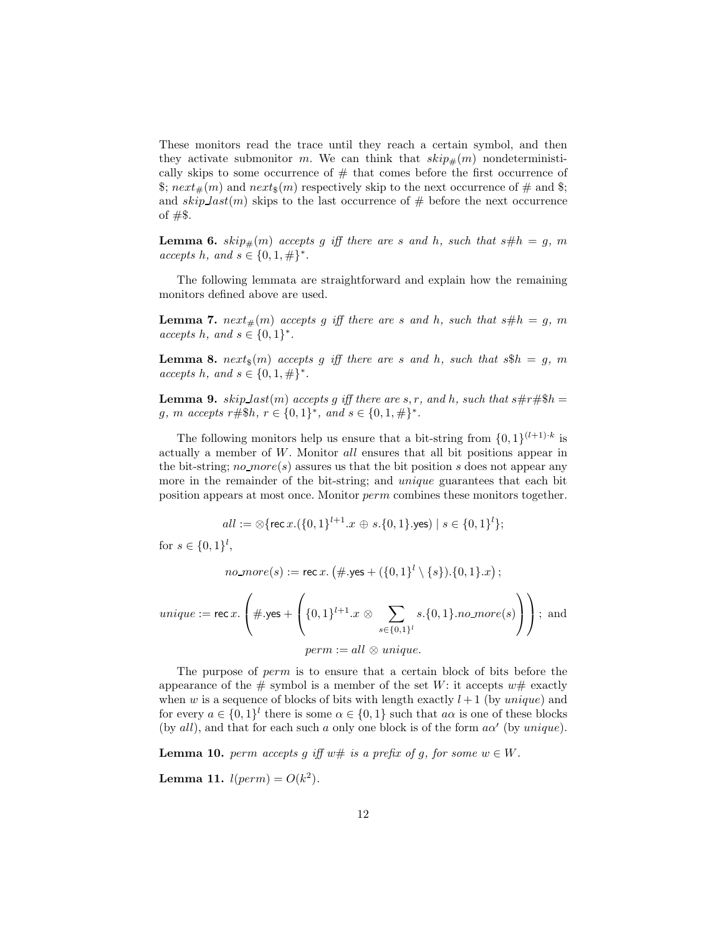These monitors read the trace until they reach a certain symbol, and then they activate submonitor m. We can think that  $skip_{\#}(m)$  nondeterministically skips to some occurrence of  $#$  that comes before the first occurrence of  $\pounds$ ;  $next_{\#}(m)$  and  $next_{\pounds}(m)$  respectively skip to the next occurrence of  $\#$  and  $\pounds$ ; and  $skip\_last(m)$  skips to the last occurrence of  $#$  before the next occurrence of  $#$ \$.

<span id="page-11-0"></span>**Lemma 6.**  $skip_{\#}(m)$  accepts g iff there are s and h, such that  $s\#h = g$ , m *accepts h*, *and s* ∈ {0, 1,  $#$ }<sup>\*</sup>.

The following lemmata are straightforward and explain how the remaining monitors defined above are used.

**Lemma 7.** next<sub>#</sub> $(m)$  accepts g iff there are s and h, such that s# $h = g$ , m accepts h, and  $s \in \{0,1\}^*$ .

**Lemma 8.** next<sub>s</sub> $(m)$  accepts g iff there are s and h, such that  $s\$ h = g, m  $accepts \, h, \, and \, s \in \{0, 1, \#\}^*.$ 

**Lemma 9.** skip last(m) accepts g iff there are s, r, and h, such that  $s\#r\#\$h =$ g, m accepts  $r \# \$h, r \in \{0,1\}^*,$  and  $s \in \{0,1,\#\}^*$ .

The following monitors help us ensure that a bit-string from  $\{0,1\}^{(l+1) \cdot k}$  is actually a member of W. Monitor all ensures that all bit positions appear in the bit-string;  $no\text{-}more(s)$  assures us that the bit position s does not appear any more in the remainder of the bit-string; and unique guarantees that each bit position appears at most once. Monitor perm combines these monitors together.

$$
all := \otimes \{ \text{rec } x. (\{0,1\}^{l+1}.x \oplus s.\{0,1\}.\text{yes}) \mid s \in \{0,1\}^l \};
$$

for  $s \in \{0,1\}^l$ ,

 $\emph{no\_more}(s) := \verb!rec"\,x.\,\big(\#\textrm{.yes} + (\{0,1\}^{l} \setminus \{s\}).\{0,1\}.x\big)\,;$ 

$$
unique := \text{rec } x. \left( \# \text{.yes} + \left( \{0, 1\}^{l+1} . x \otimes \sum_{s \in \{0, 1\}^l} s. \{0, 1\} . no\text{-}more(s) \right) \right); \text{ and}
$$

$$
perm := all \otimes unique.
$$

The purpose of perm is to ensure that a certain block of bits before the appearance of the  $\#$  symbol is a member of the set W: it accepts  $w\#$  exactly when w is a sequence of blocks of bits with length exactly  $l + 1$  (by unique) and for every  $a \in \{0,1\}^l$  there is some  $\alpha \in \{0,1\}$  such that  $a\alpha$  is one of these blocks (by all), and that for each such a only one block is of the form  $a\alpha'$  (by unique).

**Lemma 10.** perm accepts g iff  $w \#$  is a prefix of g, for some  $w \in W$ .

**Lemma 11.**  $l(perm) = O(k^2)$ .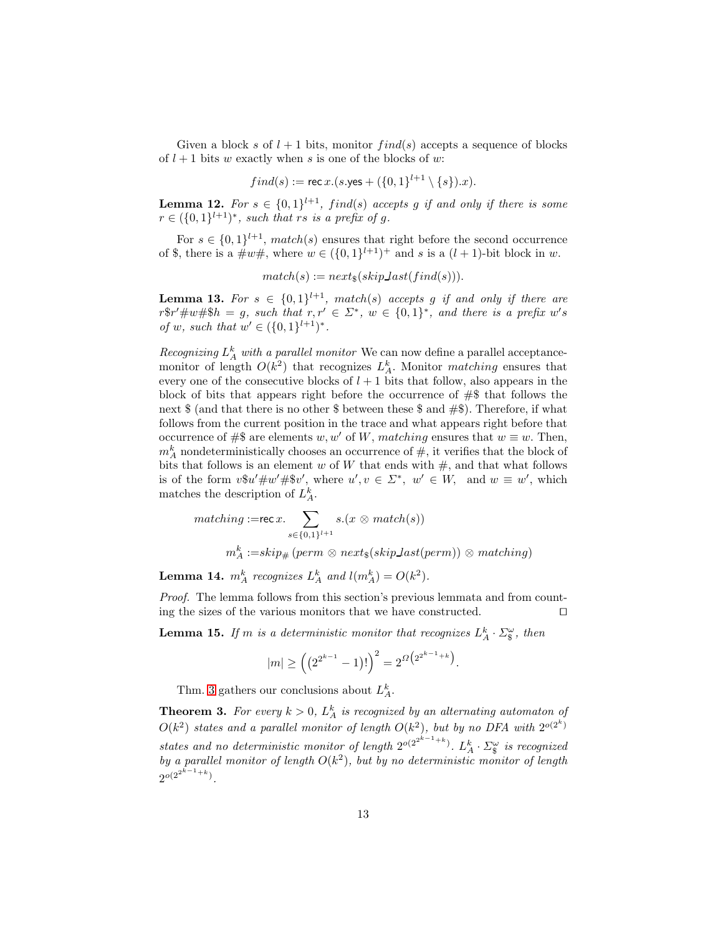Given a block s of  $l + 1$  bits, monitor  $find(s)$  accepts a sequence of blocks of  $l + 1$  bits w exactly when s is one of the blocks of w:

$$
find(s) := \mathsf{rec}\,x.(s.\mathsf{yes} + (\{0,1\}^{l+1} \setminus \{s\}).x).
$$

**Lemma 12.** For  $s \in \{0,1\}^{l+1}$ , find(s) accepts g if and only if there is some  $r \in (\{0,1\}^{l+1})^*$ , such that rs is a prefix of g.

For  $s \in \{0,1\}^{l+1}$ , match(s) ensures that right before the second occurrence of \$, there is a  $\#w\#$ , where  $w \in (\{0,1\}^{l+1})^+$  and s is a  $(l+1)$ -bit block in w.

$$
match(s) := next_*(skip\_last(find(s))).
$$

**Lemma 13.** For  $s \in \{0,1\}^{l+1}$ , match(s) accepts g if and only if there are  $r$ \$r' $\#w$ #\$h = g, such that  $r, r' \in \Sigma^*$ ,  $w \in \{0,1\}^*$ , and there is a prefix w's of w, such that  $w' \in (\{0,1\}^{l+1})^*$ .

Recognizing  $L_A^k$  with a parallel monitor We can now define a parallel acceptancemonitor of length  $O(k^2)$  that recognizes  $L_A^k$ . Monitor *matching* ensures that every one of the consecutive blocks of  $l + 1$  bits that follow, also appears in the block of bits that appears right before the occurrence of  $#$  that follows the next  $\text{\$}$  (and that there is no other  $\text{\$}$  between these  $\text{\$}$  and  $\text{\#}\text{\$}$ ). Therefore, if what follows from the current position in the trace and what appears right before that occurrence of #\$ are elements w, w' of W, matching ensures that  $w \equiv w$ . Then,  $m_A^k$  nondeterministically chooses an occurrence of  $\#$ , it verifies that the block of bits that follows is an element w of W that ends with  $\#$ , and that what follows is of the form  $v\mathcal{F}u' \# w' \# \mathcal{F}v'$ , where  $u', v \in \Sigma^*$ ,  $w' \in W$ , and  $w \equiv w'$ , which matches the description of  $L_A^k$ .

$$
matching := \mathsf{rec}\,x. \sum_{s \in \{0,1\}^{l+1}} s.(x \otimes match(s))
$$

$$
m_A^k := skip_\#(perm \otimes next_\$(skipLast(perm)) \otimes matching)
$$

<span id="page-12-1"></span>**Lemma 14.**  $m_A^k$  recognizes  $L_A^k$  and  $l(m_A^k) = O(k^2)$ .

Proof. The lemma follows from this section's previous lemmata and from counting the sizes of the various monitors that we have constructed. ⊓⊔

<span id="page-12-2"></span>**Lemma 15.** If m is a deterministic monitor that recognizes  $L_A^k \cdot \Sigma_{\S}^{\omega}$ , then

$$
|m| \ge \left( \left( 2^{2^{k-1}} - 1 \right)! \right)^2 = 2^{\Omega \left( 2^{2^{k-1} + k} \right)}.
$$

<span id="page-12-0"></span>Thm. [3](#page-12-0) gathers our conclusions about  $L_A^k$ .

**Theorem 3.** For every  $k > 0$ ,  $L_A^k$  is recognized by an alternating automaton of  $O(k^2)$  states and a parallel monitor of length  $O(k^2)$ , but by no DFA with  $2^{o(2^k)}$ states and no deterministic monitor of length  $2^{o(2^{2^{k-1}+k})}$ .  $L_A^k \cdot \Sigma_{\S}^{\omega}$  is recognized by a parallel monitor of length  $O(k^2)$ , but by no deterministic monitor of length  $2^{o(2^{2^{k-1}+k})}$ .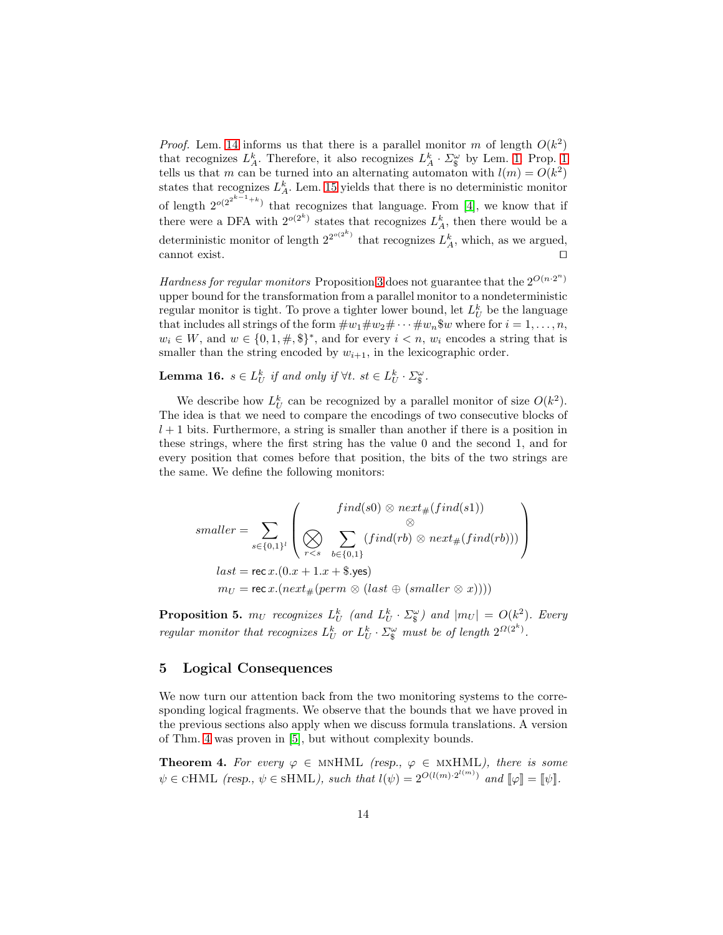*Proof.* Lem. [14](#page-12-1) informs us that there is a parallel monitor m of length  $O(k^2)$ that recognizes  $L_A^k$ . Therefore, it also recognizes  $L_A^k \cdot \Sigma_{\S}^{\omega}$  by Lem. [1.](#page-4-2) Prop. [1](#page-8-4) tells us that m can be turned into an alternating automaton with  $l(m) = O(k^2)$ states that recognizes  $L_A^k$ . Lem. [15](#page-12-2) yields that there is no deterministic monitor of length  $2^{o(2^{2^{k-1}+k})}$  that recognizes that language. From [\[4\]](#page-15-8), we know that if there were a DFA with  $2^{o(2^k)}$  states that recognizes  $L_A^k$ , then there would be a deterministic monitor of length  $2^{2^{o(2^k)}}$  that recognizes  $L_A^k$ , which, as we argued, cannot exist. ⊓⊔

Hardness for regular monitors Proposition [3](#page-12-0) does not guarantee that the  $2^{O(n \cdot 2^n)}$ upper bound for the transformation from a parallel monitor to a nondeterministic regular monitor is tight. To prove a tighter lower bound, let  $L_U^k$  be the language that includes all strings of the form  $\#w_1\#w_2\#\cdots\#w_n\$ <sup>w</sup> where for  $i=1,\ldots,n$ ,  $w_i \in W$ , and  $w \in \{0, 1, \#, \$\}^*$ , and for every  $i < n$ ,  $w_i$  encodes a string that is smaller than the string encoded by  $w_{i+1}$ , in the lexicographic order.

**Lemma 16.**  $s \in L_U^k$  if and only if  $\forall t$ .  $st \in L_U^k \cdot \Sigma_{\mathcal{S}}^{\omega}$ .

We describe how  $L_U^k$  can be recognized by a parallel monitor of size  $O(k^2)$ . The idea is that we need to compare the encodings of two consecutive blocks of  $l + 1$  bits. Furthermore, a string is smaller than another if there is a position in these strings, where the first string has the value 0 and the second 1, and for every position that comes before that position, the bits of the two strings are the same. We define the following monitors:

$$
smaller = \sum_{s \in \{0,1\}^l} \left( \bigotimes_{r
$$
last = \text{rec } x.(0.x + 1.x + \$.yes)
$$

$$
m_U = \text{rec } x.(next_{\#}(perm \otimes (last \oplus (smaller \otimes x))))
$$
$$

<span id="page-13-2"></span>**Proposition 5.**  $m_U$  recognizes  $L_U^k$  (and  $L_U^k \cdot \Sigma_{\S}^{\omega}$ ) and  $|m_U| = O(k^2)$ . Every regular monitor that recognizes  $L_U^k$  or  $L_U^k \cdot \Sigma_{\S}^{\omega}$  must be of length  $2^{\Omega(2^k)}$ .

## <span id="page-13-0"></span>5 Logical Consequences

We now turn our attention back from the two monitoring systems to the corresponding logical fragments. We observe that the bounds that we have proved in the previous sections also apply when we discuss formula translations. A version of Thm. [4](#page-13-1) was proven in [\[5\]](#page-15-3), but without complexity bounds.

<span id="page-13-1"></span>**Theorem 4.** For every  $\varphi \in \text{MNHML}$  (resp.,  $\varphi \in \text{MXHML}$ ), there is some  $\psi \in \text{cHML}$  (resp.,  $\psi \in \text{SHML}$ ), such that  $l(\psi) = 2^{O(l(m) \cdot 2^{l(m)})}$  and  $[\![\varphi]\!] = [\![\psi]\!]$ .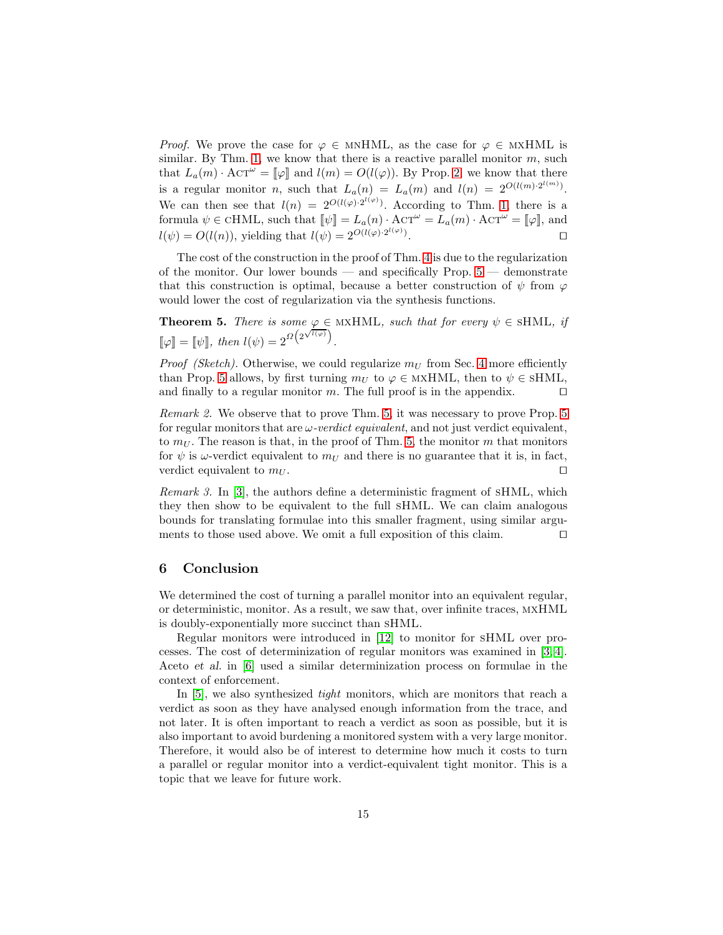*Proof.* We prove the case for  $\varphi \in \text{MNHML}$ , as the case for  $\varphi \in \text{MXHML}$  is similar. By Thm. [1,](#page-7-0) we know that there is a reactive parallel monitor  $m$ , such that  $L_a(m) \cdot \text{ACT}^{\omega} = [\![\varphi]\!]$  and  $l(m) = O(l(\varphi))$ . By Prop. [2,](#page-8-1) we know that there is a regular monitor *n*, such that  $L_a(n) = L_a(m)$  and  $l(n) = 2^{O(l(m) \cdot 2^{l(m)})}$ . We can then see that  $l(n) = 2^{O(l(\varphi) \cdot 2^{l(\varphi)})}$ . According to Thm. [1,](#page-7-0) there is a formula  $\psi \in \text{cHML}$ , such that  $\|\psi\| = L_a(n) \cdot \text{ACT}^{\omega} = L_a(m) \cdot \text{ACT}^{\omega} = \|\varphi\|$ , and  $l(\psi) = O(l(n))$ , yielding that  $l(\psi) = 2^{O(l(\varphi) \cdot 2^{l(\varphi)})}$ . ⊓⊔

The cost of the construction in the proof of Thm. [4](#page-13-1) is due to the regularization of the monitor. Our lower bounds — and specifically Prop.  $5$  — demonstrate that this construction is optimal, because a better construction of  $\psi$  from  $\varphi$ would lower the cost of regularization via the synthesis functions.

<span id="page-14-1"></span>**Theorem 5.** There is some  $\varphi \in MXHML$ , such that for every  $\psi \in SHML$ , if  $[\![\varphi]\!] = [\![\psi]\!]$ , then  $l(\psi) = 2^{\Omega\left(2^{\sqrt{l(\varphi)}}\right)}$ .

*Proof (Sketch)*. Otherwise, we could regularize  $m_U$  from Sec. [4](#page-9-0) more efficiently than Prop. [5](#page-13-2) allows, by first turning  $m_U$  to  $\varphi \in \text{MxHML}$ , then to  $\psi \in \text{SHML}$ , and finally to a regular monitor m. The full proof is in the appendix.  $□$ 

Remark 2. We observe that to prove Thm. [5,](#page-14-1) it was necessary to prove Prop. [5](#page-13-2) for regular monitors that are  $\omega$ -verdict equivalent, and not just verdict equivalent, to  $m_U$ . The reason is that, in the proof of Thm. [5,](#page-14-1) the monitor m that monitors for  $\psi$  is  $\omega$ -verdict equivalent to  $m_U$  and there is no guarantee that it is, in fact, verdict equivalent to  $m_U$ . □

Remark 3. In [\[3\]](#page-15-7), the authors define a deterministic fragment of sHML, which they then show to be equivalent to the full sHML. We can claim analogous bounds for translating formulae into this smaller fragment, using similar arguments to those used above. We omit a full exposition of this claim. ⊓⊔

## <span id="page-14-0"></span>6 Conclusion

We determined the cost of turning a parallel monitor into an equivalent regular, or deterministic, monitor. As a result, we saw that, over infinite traces, mxHML is doubly-exponentially more succinct than sHML.

Regular monitors were introduced in [\[12\]](#page-15-2) to monitor for sHML over processes. The cost of determinization of regular monitors was examined in [\[3,](#page-15-7) [4\]](#page-15-8). Aceto et al. in [\[6\]](#page-15-13) used a similar determinization process on formulae in the context of enforcement.

In [\[5\]](#page-15-3), we also synthesized *tight* monitors, which are monitors that reach a verdict as soon as they have analysed enough information from the trace, and not later. It is often important to reach a verdict as soon as possible, but it is also important to avoid burdening a monitored system with a very large monitor. Therefore, it would also be of interest to determine how much it costs to turn a parallel or regular monitor into a verdict-equivalent tight monitor. This is a topic that we leave for future work.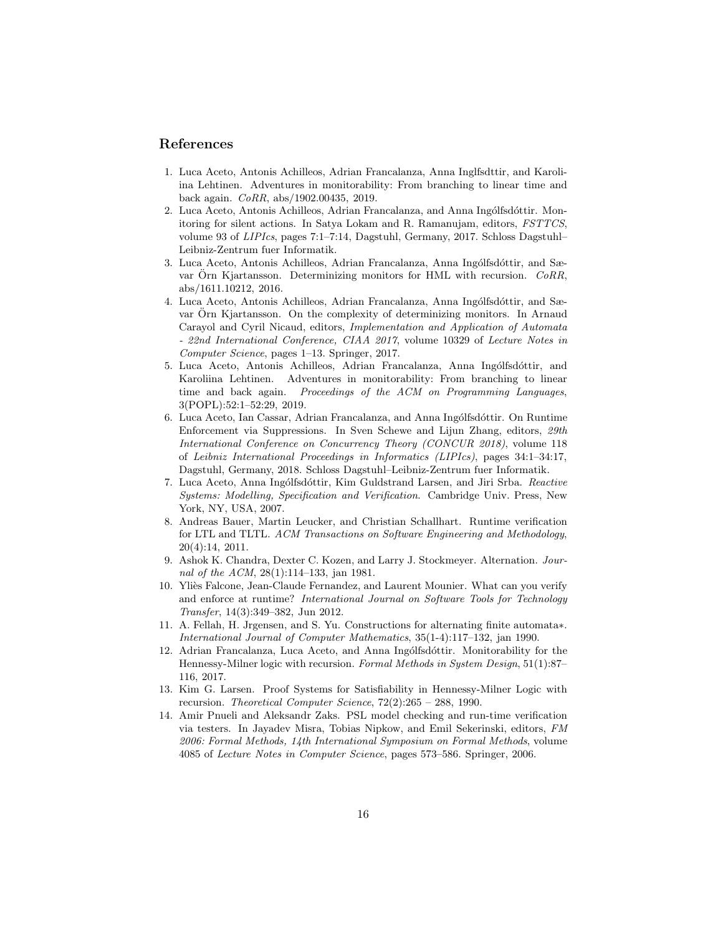## <span id="page-15-12"></span>References

- 1. Luca Aceto, Antonis Achilleos, Adrian Francalanza, Anna Inglfsdttir, and Karoliina Lehtinen. Adventures in monitorability: From branching to linear time and back again. CoRR, abs/1902.00435, 2019.
- <span id="page-15-1"></span>2. Luca Aceto, Antonis Achilleos, Adrian Francalanza, and Anna Ingólfsdóttir. Monitoring for silent actions. In Satya Lokam and R. Ramanujam, editors, FSTTCS, volume 93 of LIPIcs, pages 7:1–7:14, Dagstuhl, Germany, 2017. Schloss Dagstuhl– Leibniz-Zentrum fuer Informatik.
- <span id="page-15-7"></span>3. Luca Aceto, Antonis Achilleos, Adrian Francalanza, Anna Ingólfsdóttir, and Sævar Orn Kjartansson. Determinizing monitors for HML with recursion.  $CoRR$ , abs/1611.10212, 2016.
- <span id="page-15-8"></span>4. Luca Aceto, Antonis Achilleos, Adrian Francalanza, Anna Ingólfsdóttir, and Sævar Örn Kjartansson. On the complexity of determinizing monitors. In Arnaud Carayol and Cyril Nicaud, editors, Implementation and Application of Automata - 22nd International Conference, CIAA 2017, volume 10329 of Lecture Notes in Computer Science, pages 1–13. Springer, 2017.
- <span id="page-15-3"></span>5. Luca Aceto, Antonis Achilleos, Adrian Francalanza, Anna Ingólfsdóttir, and Karoliina Lehtinen. Adventures in monitorability: From branching to linear time and back again. Proceedings of the ACM on Programming Languages, 3(POPL):52:1–52:29, 2019.
- <span id="page-15-13"></span>6. Luca Aceto, Ian Cassar, Adrian Francalanza, and Anna Ingólfsdóttir. On Runtime Enforcement via Suppressions. In Sven Schewe and Lijun Zhang, editors, 29th International Conference on Concurrency Theory (CONCUR 2018), volume 118 of Leibniz International Proceedings in Informatics (LIPIcs), pages 34:1–34:17, Dagstuhl, Germany, 2018. Schloss Dagstuhl–Leibniz-Zentrum fuer Informatik.
- <span id="page-15-11"></span>7. Luca Aceto, Anna Ingólfsdóttir, Kim Guldstrand Larsen, and Jiri Srba. Reactive Systems: Modelling, Specification and Verification. Cambridge Univ. Press, New York, NY, USA, 2007.
- <span id="page-15-4"></span>8. Andreas Bauer, Martin Leucker, and Christian Schallhart. Runtime verification for LTL and TLTL. ACM Transactions on Software Engineering and Methodology, 20(4):14, 2011.
- <span id="page-15-9"></span>9. Ashok K. Chandra, Dexter C. Kozen, and Larry J. Stockmeyer. Alternation. Journal of the ACM, 28(1):114–133, jan 1981.
- <span id="page-15-5"></span>10. Yliès Falcone, Jean-Claude Fernandez, and Laurent Mounier. What can you verify and enforce at runtime? International Journal on Software Tools for Technology Transfer, 14(3):349–382, Jun 2012.
- <span id="page-15-10"></span>11. A. Fellah, H. Jrgensen, and S. Yu. Constructions for alternating finite automata∗. International Journal of Computer Mathematics, 35(1-4):117–132, jan 1990.
- <span id="page-15-2"></span>12. Adrian Francalanza, Luca Aceto, and Anna Ingólfsdóttir. Monitorability for the Hennessy-Milner logic with recursion. Formal Methods in System Design, 51(1):87– 116, 2017.
- <span id="page-15-0"></span>13. Kim G. Larsen. Proof Systems for Satisfiability in Hennessy-Milner Logic with recursion. Theoretical Computer Science, 72(2):265 – 288, 1990.
- <span id="page-15-6"></span>14. Amir Pnueli and Aleksandr Zaks. PSL model checking and run-time verification via testers. In Jayadev Misra, Tobias Nipkow, and Emil Sekerinski, editors, FM 2006: Formal Methods, 14th International Symposium on Formal Methods, volume 4085 of Lecture Notes in Computer Science, pages 573–586. Springer, 2006.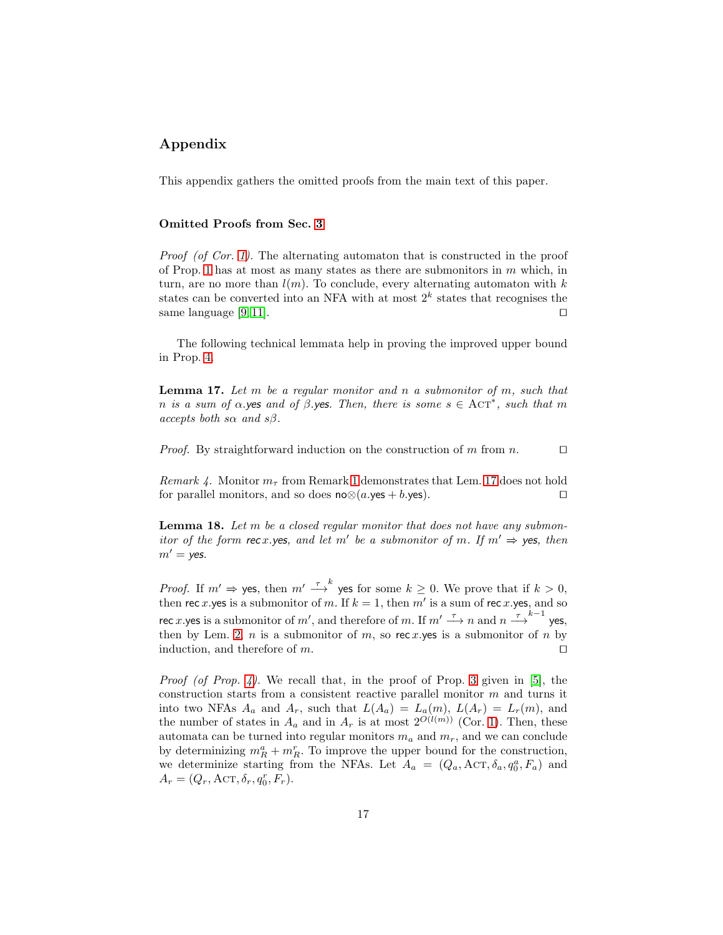# Appendix

This appendix gathers the omitted proofs from the main text of this paper.

### Omitted Proofs from Sec. [3](#page-8-0)

Proof (of Cor. [1\)](#page-8-3). The alternating automaton that is constructed in the proof of Prop. [1](#page-8-4) has at most as many states as there are submonitors in  $m$  which, in turn, are no more than  $l(m)$ . To conclude, every alternating automaton with k states can be converted into an NFA with at most  $2^k$  states that recognises the same language [\[9,](#page-15-9) [11\]](#page-15-10).  $□$ 

<span id="page-16-0"></span>The following technical lemmata help in proving the improved upper bound in Prop. [4.](#page-9-2)

**Lemma 17.** Let  $m$  be a regular monitor and  $n$  a submonitor of  $m$ , such that n is a sum of  $\alpha$ .yes and of  $\beta$ .yes. Then, there is some  $s \in \text{ACT}^*$ , such that m accepts both s $\alpha$  and s $\beta$ .

*Proof.* By straightforward induction on the construction of m from n.  $□$ 

Remark 4. Monitor  $m_{\tau}$  from Remark [1](#page-4-0) demonstrates that Lem. [17](#page-16-0) does not hold for parallel monitors, and so does  $n \otimes (a \cdot yes + b \cdot yes)$ . □

<span id="page-16-1"></span>**Lemma 18.** Let  $m$  be a closed regular monitor that does not have any submonitor of the form rec x yes, and let m' be a submonitor of m. If  $m' \Rightarrow$  yes, then  $m' =$  yes.

*Proof.* If  $m' \Rightarrow$  yes, then  $m' \stackrel{\tau}{\longrightarrow}^k$  yes for some  $k \geq 0$ . We prove that if  $k > 0$ , then rec x yes is a submonitor of m. If  $k = 1$ , then m' is a sum of rec x yes, and so rec x.yes is a submonitor of m', and therefore of m. If  $m' \stackrel{\tau}{\longrightarrow} n$  and  $n \stackrel{\tau}{\longrightarrow} k^{-1}$  yes, then by Lem. [2,](#page-4-1) *n* is a submonitor of *m*, so rec x, yes is a submonitor of *n* by induction, and therefore of m.  $□$ 

*Proof (of Prop. [4\)](#page-9-2).* We recall that, in the proof of Prop. [3](#page-9-1) given in [\[5\]](#page-15-3), the construction starts from a consistent reactive parallel monitor  $m$  and turns it into two NFAs  $A_a$  and  $A_r$ , such that  $L(A_a) = L_a(m)$ ,  $L(A_r) = L_r(m)$ , and the number of states in  $A_a$  and in  $A_r$  is at most  $2^{O(l(m))}$  (Cor. [1\)](#page-8-3). Then, these automata can be turned into regular monitors  $m_a$  and  $m_r$ , and we can conclude by determinizing  $m_R^a + m_R^r$ . To improve the upper bound for the construction, we determinize starting from the NFAs. Let  $A_a = (Q_a, \text{ACT}, \delta_a, q_0^a, F_a)$  and  $A_r = (Q_r, \text{ACT}, \delta_r, q_0^r, F_r).$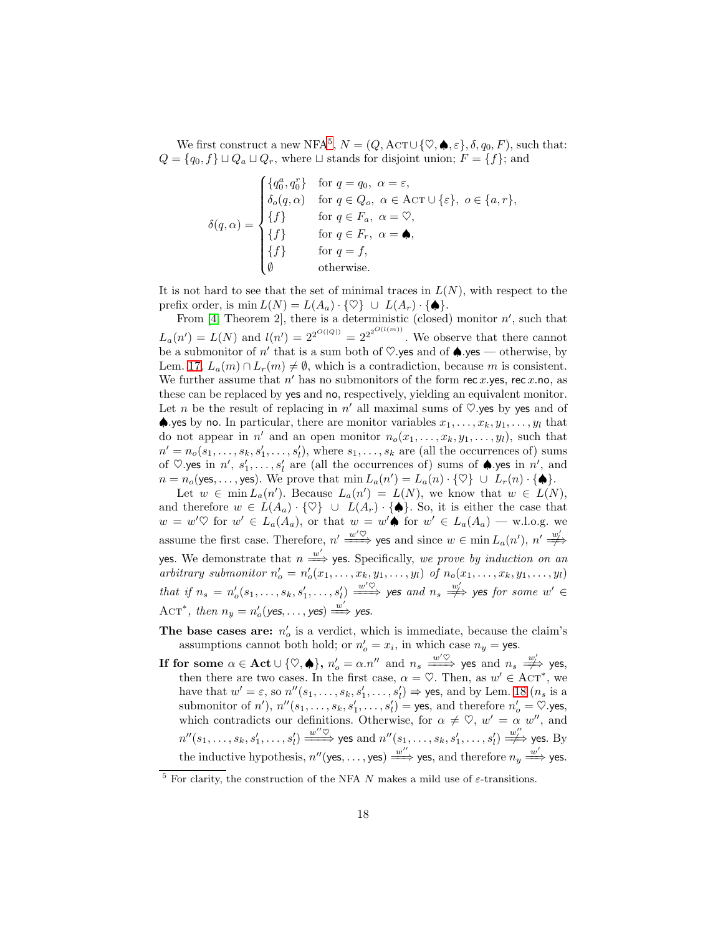We first construct a new NFA<sup>[5](#page-17-0)</sup>,  $N = (Q, \text{ACT} \cup \{ \heartsuit, \spadesuit, \varepsilon \}, \delta, q_0, F)$ , such that:  $Q = \{q_0, f\} \sqcup Q_a \sqcup Q_r$ , where  $\sqcup$  stands for disjoint union;  $F = \{f\}$ ; and

$$
\delta(q,\alpha) = \begin{cases}\n\{q_0^a, q_0^r\} & \text{for } q = q_0, \ \alpha = \varepsilon, \\
\delta_o(q,\alpha) & \text{for } q \in Q_o, \ \alpha \in \text{ACT} \cup \{\varepsilon\}, \ o \in \{a, r\}, \\
\{f\} & \text{for } q \in F_a, \ \alpha = \heartsuit, \\
\{f\} & \text{for } q \in F_r, \ \alpha = \spadesuit, \\
\{f\} & \text{for } q = f, \\
\emptyset & \text{otherwise.}\n\end{cases}
$$

It is not hard to see that the set of minimal traces in  $L(N)$ , with respect to the prefix order, is  $\min L(N) = L(A_a) \cdot {\emptyset} \cup L(A_r) \cdot {\spadesuit}.$ 

From  $[4,$  Theorem 2, there is a deterministic (closed) monitor  $n'$ , such that  $L_a(n') = L(N)$  and  $l(n') = 2^{2^{O(|Q|)}} = 2^{2^{O(l(m))}}$ . We observe that there cannot be a submonitor of  $n'$  that is a sum both of  $\heartsuit$ .yes and of  $\spadesuit$ .yes — otherwise, by Lem. [17,](#page-16-0)  $L_a(m) \cap L_r(m) \neq \emptyset$ , which is a contradiction, because m is consistent. We further assume that  $n'$  has no submonitors of the form rec x, yes, rec x, no, as these can be replaced by yes and no, respectively, yielding an equivalent monitor. Let *n* be the result of replacing in  $n'$  all maximal sums of  $\heartsuit$ .yes by yes and of  $\spadesuit$  yes by no. In particular, there are monitor variables  $x_1, \ldots, x_k, y_1, \ldots, y_l$  that do not appear in  $n'$  and an open monitor  $n_o(x_1, \ldots, x_k, y_1, \ldots, y_l)$ , such that  $n' = n_o(s_1, \ldots, s_k, s'_1, \ldots, s'_l)$ , where  $s_1, \ldots, s_k$  are (all the occurrences of) sums of  $\heartsuit$ .yes in  $n'$ ,  $s'_1, \ldots, s'_l$  are (all the occurrences of) sums of  $\spadesuit$ .yes in  $n'$ , and  $n = n_o(\text{yes}, \dots, \text{yes}).$  We prove that  $\min L_a(n') = L_a(n) \cdot {\emptyset} \cup L_r(n) \cdot {\emptyset}.$ 

Let  $w \in \min L_a(n')$ . Because  $L_a(n') = L(N)$ , we know that  $w \in L(N)$ , and therefore  $w \in L(A_a) \cdot {\emptyset} \cup L(A_r) \cdot {\{\spadesuit\}}$ . So, it is either the case that  $w = w' \heartsuit$  for  $w' \in L_a(A_a)$ , or that  $w = w' \spadesuit$  for  $w' \in L_a(A_a)$  — w.l.o.g. we assume the first case. Therefore,  $n' \stackrel{w' \heartsuit}{\Longrightarrow}$  yes and since  $w \in \min L_a(n'), n' \stackrel{w'}{\Longrightarrow}$ yes. We demonstrate that  $n \stackrel{w'}{\Longrightarrow}$  yes. Specifically, we prove by induction on an arbitrary submonitor  $n'_{o} = n'_{o}(x_1, \ldots, x_k, y_1, \ldots, y_l)$  of  $n_{o}(x_1, \ldots, x_k, y_1, \ldots, y_l)$ that if  $n_s = n'_o(s_1, \ldots, s_k, s'_1, \ldots, s'_l) \xrightarrow{w' \heartsuit}$  yes and  $n_s \xrightarrow{w'_j}$  yes for some  $w' \in$ Ac $T^*$ , then  $n_y = n'_o(\text{yes}, \dots, \text{yes}) \stackrel{w'}{\Longrightarrow} \text{yes}.$ 

- The base cases are:  $n'_{o}$  is a verdict, which is immediate, because the claim's assumptions cannot both hold; or  $n'_o = x_i$ , in which case  $n_y$  = yes.
- If for some  $\alpha \in \textbf{Act} \cup \{\heartsuit, \spadesuit\}, n_o' = \alpha.n''$  and  $n_s \xrightarrow{w' \heartsuit}$  yes and  $n_s \xrightarrow{w'_j}$  yes, then there are two cases. In the first case,  $\alpha = \heartsuit$ . Then, as  $w' \in \text{ACT}^*$ , we have that  $w' = \varepsilon$ , so  $n''(s_1, \ldots, s_k, s'_1, \ldots, s'_l) \Rightarrow$  yes, and by Lem. [18](#page-16-1)  $(n_s \text{ is a})$ submonitor of  $n'$ ),  $n''(s_1, \ldots, s_k, s'_1, \ldots, s'_l) =$  yes, and therefore  $n'_o = \heartsuit$ .yes, which contradicts our definitions. Otherwise, for  $\alpha \neq \heartsuit$ ,  $w' = \alpha w''$ , and  $n''(s_1,\ldots,s_k,s_1',\ldots,s_l') \stackrel{w'' \heartsuit}{\Longrightarrow}$  yes and  $n''(s_1,\ldots,s_k,s_1',\ldots,s_l') \stackrel{w''_l}{\Longrightarrow}$  yes. By the inductive hypothesis,  $n''$  (yes, ..., yes)  $\stackrel{w''}{\Longrightarrow}$  yes, and therefore  $n_y \stackrel{w'}{\Longrightarrow}$  yes.

<span id="page-17-0"></span><sup>&</sup>lt;sup>5</sup> For clarity, the construction of the NFA N makes a mild use of  $\varepsilon$ -transitions.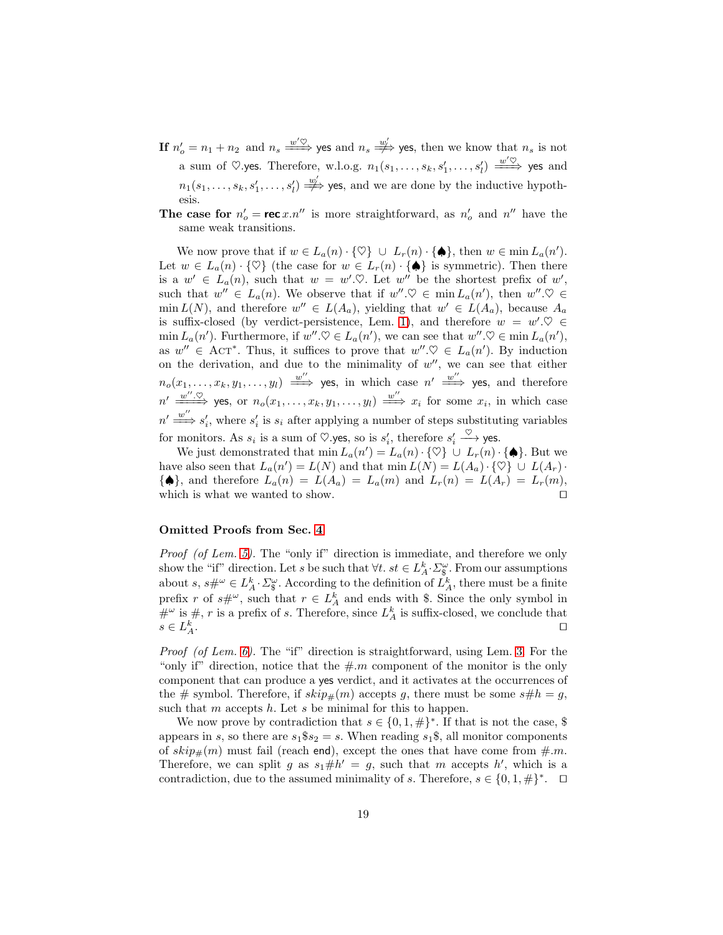- If  $n'_o = n_1 + n_2$  and  $n_s \stackrel{w' \heartsuit}{\Longrightarrow}$  yes and  $n_s \stackrel{w'}{\Longrightarrow}$  yes, then we know that  $n_s$  is not a sum of  $\heartsuit$ .yes. Therefore, w.l.o.g.  $n_1(s_1,\ldots,s_k,s'_1,\ldots,s'_l) \stackrel{w' \heartsuit}{\Longrightarrow}$  yes and  $n_1(s_1,\ldots,s_k,s'_1,\ldots,s'_l) \stackrel{w'_j}{\Longrightarrow}$  yes, and we are done by the inductive hypothesis.
- **The case for**  $n'_o = \text{rec } x.n''$  is more straightforward, as  $n'_o$  and  $n''$  have the same weak transitions.

We now prove that if  $w \in L_a(n) \cdot {\emptyset} \cup L_r(n) \cdot {\spadesuit},$  then  $w \in \min L_a(n')$ . Let  $w \in L_a(n) \cdot {\emptyset}$  (the case for  $w \in L_r(n) \cdot {\{\bigoplus\}}$  is symmetric). Then there is a  $w' \in L_a(n)$ , such that  $w = w' \, \heartsuit$ . Let  $w''$  be the shortest prefix of  $w'$ , such that  $w'' \in L_a(n)$ . We observe that if  $w'' \mathcal{Q} \in \min L_a(n')$ , then  $w'' \mathcal{Q} \in$  $\min L(N)$ , and therefore  $w'' \in L(A_a)$ , yielding that  $w' \in L(A_a)$ , because  $A_a$ is suffix-closed (by verdict-persistence, Lem. [1\)](#page-4-2), and therefore  $w = w' \mathcal{Q} \in$  $\min L_a(n')$ . Furthermore, if  $w'' \otimes \in L_a(n')$ , we can see that  $w'' \otimes \in \min L_a(n')$ , as  $w'' \in \text{ACT}^*$ . Thus, it suffices to prove that  $w'' \mathcal{Q} \in L_a(n')$ . By induction on the derivation, and due to the minimality of  $w''$ , we can see that either  $n_o(x_1,\ldots,x_k,y_1,\ldots,y_l) \stackrel{w''}{\Longrightarrow}$  yes, in which case  $n' \stackrel{w''}{\Longrightarrow}$  yes, and therefore  $n' \xrightarrow{w'' \in \heartsuit}$  yes, or  $n_o(x_1, \ldots, x_k, y_1, \ldots, y_l) \xrightarrow{w''} x_i$  for some  $x_i$ , in which case  $n' \stackrel{w''}{\Longrightarrow} s'_i$ , where  $s'_i$  is  $s_i$  after applying a number of steps substituting variables for monitors. As  $s_i$  is a sum of  $\heartsuit$ .yes, so is  $s'_i$ , therefore  $s'_i \xrightarrow{\vee}$  yes.

We just demonstrated that  $\min L_a(n') = L_a(n) \cdot {\varphi} \cup L_r(n) \cdot {\varphi}.$  But we have also seen that  $L_a(n') = L(N)$  and that  $\min L(N) = L(A_a) \cdot {\emptyset} \cup L(A_r)$ .  $\{\spadesuit\}$ , and therefore  $L_a(n) = L(A_a) = L_a(m)$  and  $L_r(n) = L(A_r) = L_r(m)$ , which is what we wanted to show. □

### Omitted Proofs from Sec. [4](#page-9-0)

Proof (of Lem. [5\)](#page-10-0). The "only if" direction is immediate, and therefore we only show the "if" direction. Let s be such that  $\forall t$ .  $st \in L_A^k \cdot \Sigma_{\S}^{\omega}$ . From our assumptions about  $s, s\#^{\omega} \in L_A^k \cdot \Sigma_{\S}^{\omega}$ . According to the definition of  $L_A^k$ , there must be a finite prefix r of  $s\#^{\omega}$ , such that  $r \in L_A^k$  and ends with \$. Since the only symbol in  $\#^{\omega}$  is  $\#$ , r is a prefix of s. Therefore, since  $L_A^k$  is suffix-closed, we conclude that  $s\in L^k_\neq$  $A$ . □

*Proof (of Lem. [6\)](#page-11-0).* The "if" direction is straightforward, using Lem. [3.](#page-5-0) For the "only if" direction, notice that the  $\#m$  component of the monitor is the only component that can produce a yes verdict, and it activates at the occurrences of the # symbol. Therefore, if  $skip_{\#}(m)$  accepts g, there must be some  $s\#h = g$ , such that  $m$  accepts  $h$ . Let  $s$  be minimal for this to happen.

We now prove by contradiction that  $s \in \{0, 1, \#\}^*$ . If that is not the case, \$ appears in s, so there are  $s_1$ \$ $s_2 = s$ . When reading  $s_1$ \$, all monitor components of  $skip_{\#}(m)$  must fail (reach end), except the ones that have come from  $\#m$ . Therefore, we can split g as  $s_1 \# h' = g$ , such that m accepts h', which is a contradiction, due to the assumed minimality of s. Therefore,  $s \in \{0, 1, \#\}^*$ .  $\Box$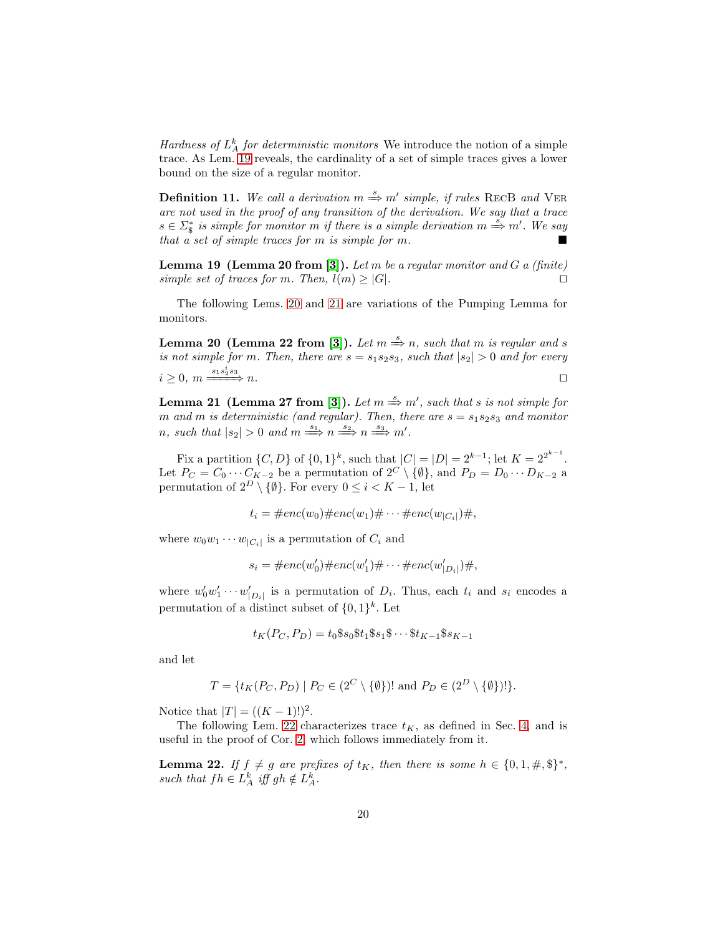Hardness of  $L_A^k$  for deterministic monitors We introduce the notion of a simple trace. As Lem. [19](#page-19-0) reveals, the cardinality of a set of simple traces gives a lower bound on the size of a regular monitor.

**Definition 11.** We call a derivation  $m \stackrel{s}{\Rightarrow} m'$  simple, if rules RECB and VER are not used in the proof of any transition of the derivation. We say that a trace  $s \in \Sigma_{\S}^*$  is simple for monitor m if there is a simple derivation  $m \stackrel{s}{\Rightarrow} m'$ . We say that a set of simple traces for m is simple for m.

<span id="page-19-0"></span>**Lemma 19 (Lemma 20 from [\[3\]](#page-15-7)).** Let  $m$  be a regular monitor and  $G$  a (finite) simple set of traces for m. Then,  $l(m) \geq |G|$ .

<span id="page-19-1"></span>The following Lems. [20](#page-19-1) and [21](#page-19-2) are variations of the Pumping Lemma for monitors.

**Lemma 20** (Lemma 22 from [\[3\]](#page-15-7)). Let  $m \stackrel{s}{\Rightarrow} n$ , such that m is regular and s is not simple for m. Then, there are  $s = s_1 s_2 s_3$ , such that  $|s_2| > 0$  and for every  $i \geq 0, m \xrightarrow{s_1 s_2^i s_3} n.$ 

<span id="page-19-2"></span>**Lemma 21** (Lemma 27 from [\[3\]](#page-15-7)). Let  $m \stackrel{s}{\Rightarrow} m'$ , such that s is not simple for m and m is deterministic (and regular). Then, there are  $s = s_1 s_2 s_3$  and monitor *n*, such that  $|s_2| > 0$  and  $m \stackrel{s_1}{\Longrightarrow} n \stackrel{s_2}{\Longrightarrow} n \stackrel{s_3}{\Longrightarrow} m'$ .

Fix a partition  $\{C, D\}$  of  $\{0, 1\}^k$ , such that  $|C| = |D| = 2^{k-1}$ ; let  $K = 2^{2^{k-1}}$ . Let  $P_C = C_0 \cdots C_{K-2}$  be a permutation of  $2^C \setminus \{\emptyset\}$ , and  $P_D = D_0 \cdots D_{K-2}$  a permutation of  $2^D \setminus \{\emptyset\}$ . For every  $0 \leq i < K - 1$ , let

$$
t_i = \#enc(w_0)\# enc(w_1)\# \cdots \# enc(w_{|C_i|})\#,
$$

where  $w_0w_1\cdots w_{|C_i|}$  is a permutation of  $C_i$  and

$$
s_i = \#enc(w'_0) \# enc(w'_1) \# \cdots \# enc(w'_{|D_i|}) \#,
$$

where  $w'_0 w'_1 \cdots w'_{|D_i|}$  is a permutation of  $D_i$ . Thus, each  $t_i$  and  $s_i$  encodes a permutation of a distinct subset of  $\{0,1\}^k$ . Let

$$
t_K(P_C, P_D) = t_0 \$s_0 \$t_1 \$s_1 \$ \cdots \$t_{K-1} \$s_{K-1}
$$

and let

$$
T = \{ t_K(P_C, P_D) \mid P_C \in (2^C \setminus \{\emptyset\})! \text{ and } P_D \in (2^D \setminus \{\emptyset\})! \}.
$$

Notice that  $|T| = ((K - 1)!)^2$ .

<span id="page-19-3"></span>The following Lem. [22](#page-19-3) characterizes trace  $t_K$ , as defined in Sec. [4,](#page-9-0) and is useful in the proof of Cor. [2,](#page-20-0) which follows immediately from it.

**Lemma 22.** If  $f \neq g$  are prefixes of  $t_K$ , then there is some  $h \in \{0, 1, \#, \$\}^*$ , such that  $fh \in L_A^k$  iff  $gh \notin L_A^k$ .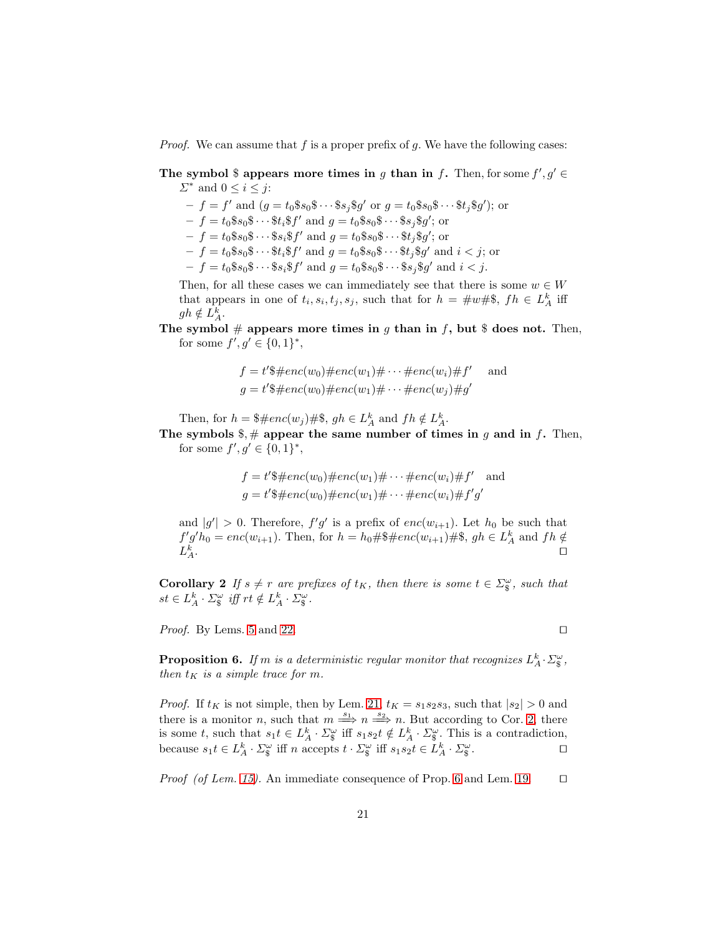*Proof.* We can assume that f is a proper prefix of g. We have the following cases:

The symbol \$ appears more times in g than in f. Then, for some  $f', g' \in$  $\Sigma^*$  and  $0 \leq i \leq j$ :

 $-f = f'$  and  $(g = t_0 \$s_0 \$ \cdots \$ s_j \$ g'$  or  $g = t_0 \$s_0 \$ \cdots \$ t_j \$ g'$ ); or

 $-f = t_0 \$s_0 \$ \cdots \$ t_i \$ f' \text{ and } g = t_0 \$s_0 \$ \cdots \$ s_j \$ g'; \text{ or }$ 

 $-f = t_0 \$s_0 \$ \cdots \$ s_i \$ f'$  and  $g = t_0 \$s_0 \$ \cdots \$ t_j \$ g';$  or

 $-f = t_0 \$s_0 \$ \cdots \$ t_i \$ f'$  and  $g = t_0 \$s_0 \$ \cdots \$ t_j \$ g'$  and  $i < j$ ; or

 $-f = t_0 \$s_0 \$ \cdots \$ s_i \$ f'$  and  $g = t_0 \$s_0 \$ \cdots \$ s_j \$ g'$  and  $i < j$ .

Then, for all these cases we can immediately see that there is some  $w \in W$ that appears in one of  $t_i, s_i, t_j, s_j$ , such that for  $h = \#w \#$ ,  $fh \in L_A^k$  iff  $gh \notin L_A^k$ .

The symbol  $\#$  appears more times in g than in f, but \$ does not. Then, for some  $f', g' \in \{0, 1\}^*,$ 

$$
f = t'\$\#enc(w_0)\# enc(w_1)\#\cdots\# enc(w_i)\#f' \quad \text{and}
$$
  

$$
g = t'\$\#enc(w_0)\# enc(w_1)\#\cdots\# enc(w_j)\#g'
$$

Then, for  $h = \frac{4}{3} \# enc(w_j) \# \$$ ,  $gh \in L_A^k$  and  $fh \notin L_A^k$ .

The symbols  $\frac{1}{2}$ ,  $\frac{1}{2}$  appear the same number of times in g and in f. Then, for some  $f', g' \in \{0, 1\}^*,$ 

$$
f = t'\$\#enc(w_0)\# enc(w_1)\#\cdots\# enc(w_i)\# f'
$$
 and  

$$
g = t'\$\#enc(w_0)\# enc(w_1)\#\cdots\# enc(w_i)\# f'g'
$$

and  $|g'| > 0$ . Therefore,  $f'g'$  is a prefix of  $enc(w_{i+1})$ . Let  $h_0$  be such that  $f'g'h_0 = enc(w_{i+1})$ . Then, for  $h = h_0 \# \$ \# enc(w_{i+1}) \# \$$ ,  $gh \in L_A^k$  and  $fh \notin$  $L^k_{\not \scriptscriptstyle\mathcal{A}}$  $A$ . □

<span id="page-20-0"></span>**Corollary 2** If  $s \neq r$  are prefixes of  $t_K$ , then there is some  $t \in \Sigma_{\S}^{\omega}$ , such that  $st \in L_A^k \cdot \Sigma_{\S}^{\omega}$  iff  $rt \notin L_A^k \cdot \Sigma_{\S}^{\omega}$ .

*Proof.* By Lems. [5](#page-10-0) and [22.](#page-19-3)  $□$ 

<span id="page-20-1"></span>**Proposition 6.** If m is a deterministic regular monitor that recognizes  $L_A^k \cdot \Sigma_{\S}^{\omega}$ , then  $t_K$  is a simple trace for m.

*Proof.* If  $t_K$  is not simple, then by Lem. [21,](#page-19-2)  $t_K = s_1 s_2 s_3$ , such that  $|s_2| > 0$  and there is a monitor *n*, such that  $m \stackrel{s_1}{\Longrightarrow} n \stackrel{s_2}{\Longrightarrow} n$ . But according to Cor. [2,](#page-20-0) there is some t, such that  $s_1t \in L_A^k \cdot \Sigma_{\S}^{\omega}$  iff  $s_1s_2t \notin L_A^k \cdot \Sigma_{\S}^{\omega}$ . This is a contradiction, because  $s_1 t \in L_A^k \cdot \Sigma_{\S}^{\omega}$  iff n accepts  $t \cdot \Sigma_{\S}^{\omega}$  iff  $s_1 s_2 t \in L_A^k \cdot \Sigma_{\S}^{\omega}$ .

*Proof (of Lem. [15\)](#page-12-2).* An immediate consequence of Prop. [6](#page-20-1) and Lem. [19.](#page-19-0) □